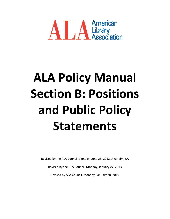

# **ALA Policy Manual Section B: Positions and Public Policy Statements**

Revised by the ALA Council Monday, June 25, 2012, Anaheim, CA

Revised by the ALA Council, Monday, January 27, 2013

Revised by ALA Council, Monday, January 28, 2019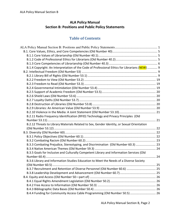# **ALA Policy Manual Section B: Positions and Public Policy Statements**

# **Table of Contents**

| B.1.4 Copyright: An Interpretation of the Code of Professional Ethics for Librarians (NEW)  9 |  |
|-----------------------------------------------------------------------------------------------|--|
|                                                                                               |  |
|                                                                                               |  |
|                                                                                               |  |
|                                                                                               |  |
|                                                                                               |  |
|                                                                                               |  |
|                                                                                               |  |
|                                                                                               |  |
|                                                                                               |  |
|                                                                                               |  |
|                                                                                               |  |
| B.2.11 Radio Frequency Identification (RFID) Technology and Privacy Principles (Old           |  |
|                                                                                               |  |
| B.2.12 Threats to Library Materials Related to Sex, Gender Identity, or Sexual Orientation    |  |
|                                                                                               |  |
|                                                                                               |  |
|                                                                                               |  |
|                                                                                               |  |
| B.3.3 Combating Prejudice, Stereotyping, and Discrimination (Old Number 60.3)  23             |  |
|                                                                                               |  |
| B.3.5 Goals for Inclusive and Culturally Competent Library and Information Services (Old      |  |
|                                                                                               |  |
| B.3.6 Library and Information Studies Education to Meet the Needs of a Diverse Society        |  |
|                                                                                               |  |
|                                                                                               |  |
|                                                                                               |  |
|                                                                                               |  |
|                                                                                               |  |
|                                                                                               |  |
|                                                                                               |  |
| B.4.4 Funding for Community Access Cable Programming (Old Number 50.5) 26                     |  |
|                                                                                               |  |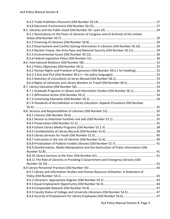| B.5.1 Nominations to the Posts of Librarian of Congress and of Archivist of the United  |  |
|-----------------------------------------------------------------------------------------|--|
|                                                                                         |  |
|                                                                                         |  |
| B.5.3 Disarmament and Conflict Solving Information in Libraries (Old Number 50.10)  29  |  |
| B.5.4 Nuclear Freeze, the Arms Race and National Security (Old Number 50.11) 29         |  |
|                                                                                         |  |
|                                                                                         |  |
|                                                                                         |  |
|                                                                                         |  |
| B.6.2 Human Rights and Freedom of Expression (Old Number 58.4.1 for heading) 32         |  |
|                                                                                         |  |
|                                                                                         |  |
|                                                                                         |  |
|                                                                                         |  |
| B.7.1 Graduate Programs in Library and Information Studies (Old Number 56.1)  34        |  |
|                                                                                         |  |
|                                                                                         |  |
| B.7.4 Standards of Accreditation in Library Education: Appeals Procedure (Old Number    |  |
|                                                                                         |  |
|                                                                                         |  |
|                                                                                         |  |
|                                                                                         |  |
|                                                                                         |  |
|                                                                                         |  |
|                                                                                         |  |
|                                                                                         |  |
|                                                                                         |  |
|                                                                                         |  |
| B.8.9 Disinformation, Media Manipulation and the Destruction of Public Information (Old |  |
|                                                                                         |  |
|                                                                                         |  |
| B.8.11 The Role of Libraries in Providing E-Government and Emergency Services (Old      |  |
|                                                                                         |  |
|                                                                                         |  |
| B.9.1 Library and Information Studies and Human Resource Utilization: A Statement of    |  |
|                                                                                         |  |
|                                                                                         |  |
|                                                                                         |  |
|                                                                                         |  |
| B.9.5 Faculty Status of College and University Librarians (Old Number 54.5)  47         |  |
|                                                                                         |  |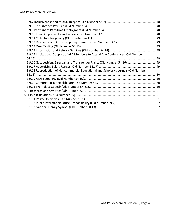| B.9.15 Institutional Support of ALA Members to Attend ALA Conferences (Old Number   |  |
|-------------------------------------------------------------------------------------|--|
|                                                                                     |  |
| B.9.16 Gay, Lesbian, Bisexual, and Transgender Rights (Old Number 54.16)  49        |  |
|                                                                                     |  |
| B.9.18 Reproduction of Noncommercial Educational and Scholarly Journals (Old Number |  |
|                                                                                     |  |
|                                                                                     |  |
|                                                                                     |  |
|                                                                                     |  |
|                                                                                     |  |
|                                                                                     |  |
|                                                                                     |  |
|                                                                                     |  |
|                                                                                     |  |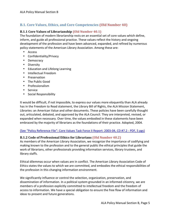# **B.1. Core Values, Ethics, and Core Competencies (Old Number 40)**

#### **B.1.1 Core Values of Librarianship (Old Number 40.1)**

The foundation of modern librarianship rests on an essential set of core values which define, inform, and guide all professional practice. These values reflect the history and ongoing development of the profession and have been advanced, expanded, and refined by numerous policy statements of the American Library Association. Among these are:

- Access
- Confidentiality/Privacy
- Democracy
- Diversity
- Education and Lifelong Learning
- Intellectual Freedom
- Preservation
- The Public Good
- Professionalism
- Service
- Social Responsibility

It would be difficult, if not impossible, to express our values more eloquently than ALA already has in the Freedom to Read statement, the Library Bill of Rights, the ALA Mission Statement, Libraries: an American Value and other documents. These policies have been carefully thought out, articulated, debated, and approved by the ALA Council. They are interpreted, revised, or expanded when necessary. Over time, the values embodied in these statements have been embraced by the majority of librarians as the foundations of their practice. Adopted, 2004.

#### (See "Policy Reference File": Core Values Task Force II Report: 2003-04, CD #7.2 - PDF, 5 pgs)

# **B.1.2 Code of Professional Ethics for Librarians (Old Number 40.2)**

As members of the American Library Association, we recognize the importance of codifying and making known to the profession and to the general public the ethical principles that guide the work of librarians, other professionals providing information services, library trustees, and library staffs.

Ethical dilemmas occur when values are in conflict. The American Library Association Code of Ethics states the values to which we are committed, and embodies the ethical responsibilities of the profession in this changing information environment.

We significantly influence or control the selection, organization, preservation, and dissemination of information. In a political system grounded in an informed citizenry, we are members of a profession explicitly committed to intellectual freedom and the freedom of access to information. We have a special obligation to ensure the free flow of information and ideas to present and future generations.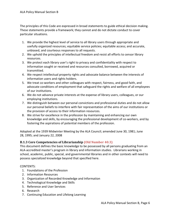The principles of this Code are expressed in broad statements to guide ethical decision making. These statements provide a framework; they cannot and do not dictate conduct to cover particular situations.

- 1. We provide the highest level of service to all library users through appropriate and usefully organized resources; equitable service policies; equitable access; and accurate, unbiased, and courteous responses to all requests.
- 2. We uphold the principles of intellectual freedom and resist all efforts to censor library resources.
- 3. We protect each library user's right to privacy and confidentiality with respect to information sought or received and resources consulted, borrowed, acquired or transmitted.
- 4. We respect intellectual property rights and advocate balance between the interests of information users and rights holders.
- 5. We treat co-workers and other colleagues with respect, fairness, and good faith, and advocate conditions of employment that safeguard the rights and welfare of all employees of our institutions.
- 6. We do not advance private interests at the expense of library users, colleagues, or our employing institutions.
- 7. We distinguish between our personal convictions and professional duties and do not allow our personal beliefs to interfere with fair representation of the aims of our institutions or the provision of access to their information resources.
- 8. We strive for excellence in the profession by maintaining and enhancing our own knowledge and skills, by encouraging the professional development of co-workers, and by fostering the aspirations of potential members of the profession.

Adopted at the 1939 Midwinter Meeting by the ALA Council; amended June 30, 1981; June 28, 1995; and January 22, 2008

# **B.1.3 Core Competencies of Librarianship (Old Number 40.3)**

This document defines the basic knowledge to be possessed by all persons graduating from an ALA-accredited master's program in library and information studies. Librarians working in school, academic, public, special, and governmental libraries and in other contexts will need to possess specialized knowledge beyond that specified here.

#### CONTENTS:

- 1. Foundations of the Profession
- 2. Information Resources
- 3. Organization of Recorded Knowledge and Information
- 4. Technological Knowledge and Skills
- 5. Reference and User Services
- 6. Research
- 7. Continuing Education and Lifelong Learning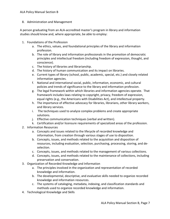8. Administration and Management

A person graduating from an ALA-accredited master's program in library and information studies should know and, where appropriate, be able to employ:

- 1. Foundations of the Profession
	- a. The ethics, values, and foundational principles of the library and information profession.
	- b. The role of library and information professionals in the promotion of democratic principles and intellectual freedom (including freedom of expression, thought, and conscience).
	- c. The history of libraries and librarianship.
	- d. The history of human communication and its impact on libraries.
	- e. Current types of library (school, public, academic, special, etc.) and closely related information agencies.
	- f. National and international social, public, information, economic, and cultural policies and trends of significance to the library and information profession.
	- g. The legal framework within which libraries and information agencies operate. That framework includes laws relating to copyright, privacy, freedom of expression, equal rights (e.g., the Americans with Disabilities Act), and intellectual property.
	- h. The importance of effective advocacy for libraries, librarians, other library workers, and library services.
	- i. The techniques used to analyze complex problems and create appropriate solutions.
	- j. Effective communication techniques (verbal and written).
	- k. Certification and/or licensure requirements of specialized areas of the profession.
- 2. Information Resources
	- a. Concepts and issues related to the lifecycle of recorded knowledge and information, from creation through various stages of use to disposition.
	- b. Concepts, issues, and methods related to the acquisition and disposition of resources, including evaluation, selection, purchasing, processing, storing, and deselection.
	- c. Concepts, issues, and methods related to the management of various collections.
	- d. Concepts, issues, and methods related to the maintenance of collections, including preservation and conservation.
- 3. Organization of Recorded Knowledge and Information
	- a. The principles involved in the organization and representation of recorded knowledge and information.
	- b. The developmental, descriptive, and evaluative skills needed to organize recorded knowledge and information resources.
	- c. The systems of cataloging, metadata, indexing, and classification standards and methods used to organize recorded knowledge and information.
- 4. Technological Knowledge and Skills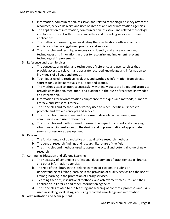- a. Information, communication, assistive, and related technologies as they affect the resources, service delivery, and uses of libraries and other information agencies.
- b. The application of information, communication, assistive, and related technology and tools consistent with professional ethics and prevailing service norms and applications.
- c. The methods of assessing and evaluating the specifications, efficacy, and cost efficiency of technology-based products and services.
- d. The principles and techniques necessary to identify and analyze emerging technologies and innovations in order to recognize and implement relevant technological improvements.
- 5. Reference and User Services
	- a. The concepts, principles, and techniques of reference and user services that provide access to relevant and accurate recorded knowledge and information to individuals of all ages and groups.
	- b. Techniques used to retrieve, evaluate, and synthesize information from diverse sources for use by individuals of all ages and groups.
	- c. The methods used to interact successfully with individuals of all ages and groups to provide consultation, mediation, and guidance in their use of recorded knowledge and information.
	- d. Information literacy/information competence techniques and methods, numerical literacy, and statistical literacy.
	- e. The principles and methods of advocacy used to reach specific audiences to promote and explain concepts and services.
	- f. The principles of assessment and response to diversity in user needs, user communities, and user preferences.
	- g. The principles and methods used to assess the impact of current and emerging situations or circumstances on the design and implementation of appropriate services or resource development.
- 6. Research
	- a. The fundamentals of quantitative and qualitative research methods.
	- b. The central research findings and research literature of the field.
	- c. The principles and methods used to assess the actual and potential value of new research.
- 7. Continuing Education and Lifelong Learning
	- a. The necessity of continuing professional development of practitioners in libraries and other information agencies.
	- b. The role of the library in the lifelong learning of patrons, including an understanding of lifelong learning in the provision of quality service and the use of lifelong learning in the promotion of library services.
	- c. Learning theories, instructional methods, and achievement measures; and their application in libraries and other information agencies.
	- d. The principles related to the teaching and learning of concepts, processes and skills used in seeking, evaluating, and using recorded knowledge and information.
- 8. Administration and Management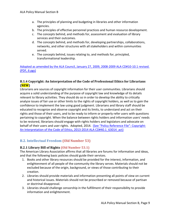- a. The principles of planning and budgeting in libraries and other information agencies.
- b. The principles of effective personnel practices and human resource development.
- c. The concepts behind, and methods for, assessment and evaluation of library services and their outcomes.
- d. The concepts behind, and methods for, developing partnerships, collaborations, networks, and other structures with all stakeholders and within communities served.
- e. The concepts behind, issues relating to, and methods for, principled, transformational leadership.

## Adopted as amended by the ALA Council, January 27, 2009, 2008-2009 ALA CD#10-10.1 revised. (PDF, 6 pgs)

## **B.1.4 Copyright: An Interpretation of the Code of Professional Ethics for Librarians (NEW)**

Librarians are sources of copyright information for their user communities. Librarians should acquire a solid understanding of the purpose of copyright law and knowledge of its details relevant to library activities. They should do so in order to develop the ability to critically analyze issues of fair use or other limits to the rights of copyright holders, as well as to gain the confidence to implement the law using good judgment. Librarians and library staff should be educated to recognize and observe copyright and its limits, to understand and act on their rights and those of their users, and to be ready to inform or properly refer users with questions pertaining to copyright. When the balance between rights holders and information users' needs to be restored, librarians should engage with rights holders and legislators and advocate on behalf of their users and user rights. Adopted, 2014. (See "Policy Reference File": Copyright: An Interpretation of the Code of Ethics, 2013-2014 ALA CD#40.1\_63014\_act)

# **B.2. Intellectual Freedom (Old Number 53)**

# **B.2.1 Library Bill of Rights (Old Number 53.1)**

The American Library Association affirms that all libraries are forums for information and ideas, and that the following basic policies should guide their services.

- 1. Books and other library resources should be provided for the interest, information, and enlightenment of all people of the community the library serves. Materials should not be excluded because of the origin, background, or views of those contributing to their creation.
- 2. Libraries should provide materials and information presenting all points of view on current and historical issues. Materials should not be proscribed or removed because of partisan or doctrinal disapproval.
- 3. Libraries should challenge censorship in the fulfillment of their responsibility to provide information and enlightenment.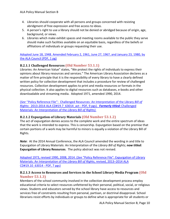- 4. Libraries should cooperate with all persons and groups concerned with resisting abridgment of free expression and free access to ideas.
- 5. A person's right to use a library should not be denied or abridged because of origin, age, background, or views.
- 6. Libraries which make exhibit spaces and meeting rooms available to the public they serve should make such facilities available on an equitable basis, regardless of the beliefs or affiliations of individuals or groups requesting their use.

Adopted June 18, 1948. Amended February 2, 1961, June 27, 1967, and January 23, 1980, by the ALA Council (PDF, 1 pg)

# **B.2.1.1 Challenged Resources (Old Number 53.1.1)**

Libraries: An American Value" states, "We protect the rights of individuals to express their opinions about library resources and services." The American Library Association declares as a matter of firm principle that it is the responsibility of every library to have a clearly defined written policy for collection development that includes a procedure for review of challenged resources. Collection development applies to print and media resources or formats in the physical collection. It also applies to digital resources such as databases, e-books and other downloadable and streaming media. Adopted 1971, amended 1990, 2014.

(*See* ''Policy Reference File'': Challenged Resources: An Interpretation of the Library *Bill of Rights*: 2013-2014 ALA CD#19.7\_63014\_act - PDF, 9 pgs). *Formerly titled:* Challenged Materials: An Interpretation of the *Library Bill of Rights)*.

#### **B.2.1.2 Expurgation of Library Materials (Old Number 53.1.2)**

The act of expurgation denies access to the complete work and the entire spectrum of ideas that the work is intended to express. This is censorship. Expurgation based on the premise that certain portions of a work may be harmful to minors is equally a violation of the Library Bill of Rights.

*Note*: At the 2014 Annual Conference, the ALA Council amended the wording in and title to Expurgation of Library Materials: An Interpretation of the *Library Bill of Rights; now titled:*  **Expurgation of Library Resources**. The policy abstract was not revised.

Adopted 1973, revised 1990, 2008, 2014. (*See* "Policy Reference File": Expurgation of Library Materials: An Interpretation of the *Library Bill of Rights*, revised, 2013–2014 ALA CD#19.10\_63014 - PDF, 7 pgs)

## **B.2.1.3 Access to Resources and Services in the School Library Media Program (Old Number 53.1.3)**

Members of the school community involved in the collection development process employ educational criteria to select resources unfettered by their personal, political, social, or religious views. Students and educators served by the school library have access to resources and services free of constraints resulting from personal, partisan, or doctrinal disapproval. School librarians resist efforts by individuals or groups to define what is appropriate for all students or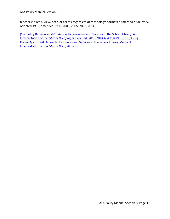teachers to read, view, hear, or access regardless of technology, formats or method of delivery. Adopted 1986, amended 1990, 2000, 2005, 2008, 2014.

(*See* Policy Reference File": Access to Resources and Services in the School Library: An Interpretation of the *Library Bill of Rights*, revised, 2013-2014 ALA CD#19.5 - PDF, 15 pgs). **Formerly entitled:** Access to Resources and Services in the School Library Media: An Interpretation of the *Library Bill of Rights*).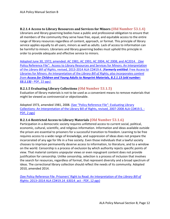## **B.2.1.4 Access to Library Resources and Services for Minors (Old Number 53.1.4)**

Librarians and library governing bodies have a public and professional obligation to ensure that all members of the community they serve have free, equal, and equitable access to the entire range of library resources regardless of content, approach, or format. This principle of library service applies equally to all users, minors as well as adults. Lack of access to information can be harmful to minors. Librarians and library governing bodies must uphold this principle in order to provide adequate and effective service to minors.

Adopted June 30, 1972; amended: AC 1981; AC 1991; AC 2004; AC 2008; and AC2014. (*See*  Policy Reference File": Access to Library Resources and Services for Minors: An Interpretation of the *Library Bill of Rights*, revised, 2013-2014 ALA CD#19.4. (*Formerly entitled*: Free Access to Libraries for Minors: An Interpretation of the *Library Bill of Rights; also incorporates content from Access for Children and Young Adults to Nonprint Materials, B.2.1.13 (old number: 53.1.13) -* PDF, 22 pgs*)*.

#### **B.2.1.5 Evaluating Library Collections (Old Number 53.1.5)**

Evaluation of library materials is not to be used as a convenient means to remove materials that might be viewed as controversial or objectionable.

Adopted 1973, amended 1981, 2008. (See "Policy Reference File": Evaluating Library Collections: An Interpretation of the Library Bill of Rights, revised, 2007-2008 ALA CD#19.5. - PDF, 2 pgs)

#### **B.2.1.6 Restricted Access to Library Materials (Old Number 53.1.6)**

Participation in a democratic society requires unfettered access to current social, political, economic, cultural, scientific, and religious information. Information and ideas available outside the prison are essential to prisoners for a successful transition to freedom. Learning to be free requires access to a wide range of knowledge, and suppression of ideas does not prepare the incarcerated of any age for life in a free society. Even those individuals that a lawful society chooses to imprison permanently deserve access to information, to literature, and to a window on the world. Censorship is a process of exclusion by which authority rejects specific points of view. That material contains unpopular views or even repugnant content does not provide justification for censorship. Unlike censorship, selection is a process of inclusion that involves the search for resources, regardless of format, that represent diversity and a broad spectrum of ideas. The correctional library collection should reflect the needs of its community. Adopted 2010, amended 2014.

(See Policy Reference File: Prisoners' Right to Read: An Interpretation of the *Library Bill of Rights*: 2013–2014 ALA CD#19.14\_63014\_act - PDF, 12 pgs)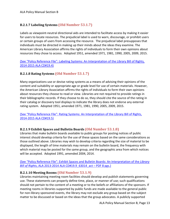# **B.2.1.7 Labeling Systems (Old Number 53.1.7)**

Labels as viewpoint-neutral directional aids are intended to facilitate access by making it easier for users to locate resources. The prejudicial label is used to warn, discourage, or prohibit users or certain groups of users from accessing the resource. The prejudicial label presupposes that individuals must be directed in making up their minds about the ideas they examine. The American Library Association affirms the rights of individuals to form their own opinions about resources they chose to access. Adopted 1951, amended 1971, 1981, 1990, 2005, 2009, 2015.

(See "Policy Reference File": Labeling Systems: An Interpretation of the Library Bill of Rights, 2014-2015 ALA CD#19.4)

# **B.2.1.8 Rating Systems (Old Number 53.1.7)**

Many organizations use or devise rating systems as a means of advising their opinions of the content and suitability or appropriate age or grade level for use of certain materials. However, the American Library Association affirms the rights of individuals to form their own opinions about resources they choose to read or view. Libraries are not required to provide ratings in their bibliographic records. If they choose to do so, they should cite the source of the rating in their catalog or discovery tool displays to indicate the library does not endorse any external rating system. Adopted 1951, amended 1971, 1981, 1990, 2005, 2009, 2015.

(See "Policy Reference File": Rating Systems: An Interpretation of the Library Bill of Rights, 2014-2015 ALA CD#19.5)

# **B.2.1.9 Exhibit Spaces and Bulletin Boards (Old Number 53.1.8)**

Libraries that make bulletin boards available to public groups for posting notices of public interest should develop criteria for the use of these spaces based on the same considerations as those outlined above. Libraries may wish to develop criteria regarding the size of material to be displayed, the length of time materials may remain on the bulletin board, the frequency with which material may be posted for the same group, and the geographic area from which notices will be accepted. Adopted 1991, amended 2004, 2014.

(See "Policy Reference File": Exhibit Spaces and Bulletin Boards: An Interpretation of the *Library Bill of Rights*, ALA 2013-2014 ALA CD#19.9\_63014\_act – PDF 8 pgs.)

#### **B.2.1.10 Meeting Rooms (Old Number 53.1.9)**

Libraries maintaining meeting room facilities should develop and publish statements governing use. These statements can properly define time, place, or manner of use; such qualifications should not pertain to the content of a meeting or to the beliefs or affiliations of the sponsors. If meeting rooms in libraries supported by public funds are made available to the general public for non-library sponsored events, the library may not exclude any group based on the subject matter to be discussed or based on the ideas that the group advocates. A publicly supported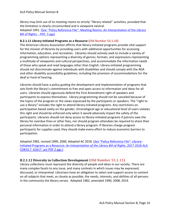library may limit use of its meeting rooms to strictly ''library related'' activities, provided that the limitation is clearly circumscribed and is viewpoint neutral. Adopted 1991. (See ''Policy Reference File'': Meeting Rooms: An Interpretation of the Library Bill of Rights. - PDF, 5 pgs)

#### **B.2.1.11 Library Initiated Programs as a Resource (Old Number 53.1.10)**

The American Library Association affirms that library-initiated programs provide vital support for the mission of libraries by providing users with additional opportunities for accessing information, education, and recreation. Libraries should actively seek to include a variety of programming options representing a diversity of genres, formats, and expressions representing a multitude of viewpoints and cultural perspectives, and accommodate the information needs of those who speak and read languages other than English. Library-initiated programming should not discriminate against individuals with disabilities and should comply with the ADA and other disability accessibility guidelines, including the provision of accommodations for the deaf or hard-of hearing.

Libraries should have a policy guiding the development and implementation of programs that sets forth the library's commitment to free and open access to information and ideas for all users. Libraries should vigorously defend the First Amendment right of speakers and participants to express themselves. Library programming should not be canceled because of the topics of the program or the views expressed by the participants or speakers. The "right to use a library" includes the right to attend library-initiated programs. Any restrictions on participation based solely on the gender, chronological age or educational level of users violates this right and should be enforced only when it would adversely impact the safety of the participants. Libraries should not deny access to library-initiated programs if patrons owe the library for overdue fines or other fees, nor should program attendees be required to share their personal information in order to attend a library program. If libraries charge program participants for supplies used, they should make every effort to reduce economic barriers to participation.

Adopted 1982, revised 1990, 2000, Adopted AC 2018. (*See* "Policy Reference File": Library-Initiated Programs as a Resource: *An Interpretation of the Library Bill of Rights*, 2017-2018 ALA CD#19.7\_62617\_act-PDF 2 pgs.)

# **B.2.1.12 Diversity in Collection Development (Old Number 53.1.11)**

Library collections must represent the diversity of people and ideas in our society. There are many complex facets to any issue, and many contexts in which issues may be expressed, discussed, or interpreted. Librarians have an obligation to select and support access to content on all subjects that meet, as closely as possible, the needs, interests, and abilities of all persons in the community the library serves. Adopted 1982, amended 1990, 2008, 2014.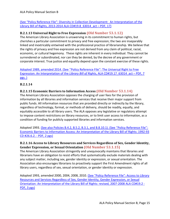(See "Policy Reference File": Diversity in Collection Development: An Interpretation of the Library Bill of Rights, 2013-2014 ALA CD#19.8\_63014\_act – PDF, 17)

# **B.2.1.13 Universal Right to Free Expression (Old Number 53.1.12)**

The American Library Association is unswerving in its commitment to human rights, but cherishes a particular commitment to privacy and free expression; the two are inseparably linked and inextricably entwined with the professional practice of librarianship. We believe that the rights of privacy and free expression are not derived from any claim of political, racial, economic, or cultural hegemony. These rights are inherent in every individual. They cannot be surrendered or subordinated, nor can they be denied, by the decree of any government or corporate interest. True justice and equality depend upon the constant exercise of these rights.

Adopted 1989, amended 2014. (See ''Policy Reference File'': The Universal Right to Free Expression: An Interpretation of the *Library Bill of Rights*, ALA CD#19.17\_63014\_act – PDF, 7 pgs. )

## **B.2.1.14**

# **B.2.1.15 Economic Barriers to Information Access (Old Number 53.1.14)**

The American Library Association opposes the charging of user fees for the provision of information by all libraries and information services that receive their major support from public funds. All information resources that are provided directly or indirectly by the library, regardless of technology, format, or methods of delivery, should be readily, equally, and equitably accessible to all library users. The ALA opposes any legislative or regulatory attempt to impose content restrictions on library resources, or to limit user access to information, as a condition of funding for publicly supported libraries and information services.

Adopted 1993. (See also Policies B.4.2, B.5.2, B.3.1, and B.8.10.1). (See ''Policy Reference File'': Economic Barriers to Information Access: An Interpretation of the Library Bill of Rights: 1992-93 CD #26.6.2. - PDF, 2 pgs)

# **B.2.1.16 Access to Library Resources and Services Regardless of Sex, Gender Identity, Gender Expression, or Sexual Orientation (Old Number 53.1.15)**

The American Library Association stringently and unequivocally maintains that libraries and librarians have an obligation to resist efforts that systematically exclude materials dealing with any subject matter, including sex, gender identity or expression, or sexual orientation. The Association also encourages librarians to proactively support the First Amendment rights of all library users, regardless of sex, sexual orientation, or gender identity or expression.

Adopted 1993, amended 2000, 2004, 2008, 2010. (See "Policy Reference File": Access to Library Resources and Services Regardless of Sex, Gender Identity, Gender Expression, or Sexual Orientation: An Interpretation of the Library Bill of Rights: revised, 2007-2008 ALA CD#19.2 - PDF, 3 pgs)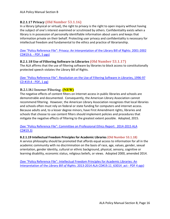# **B.2.1.17 Privacy (Old Number 53.1.16)**

In a library (physical or virtual), the right to privacy is the right to open inquiry without having the subject of one's interest examined or scrutinized by others. Confidentiality exists when a library is in possession of personally identifiable information about users and keeps that information private on their behalf. Protecting user privacy and confidentiality is necessary for intellectual freedom and fundamental to the ethics and practice of librarianship.

(See "Policy Reference File": Privacy: An Interpretation of the Library Bill of Rights: 2001-2002 CD#19.6. - PDF, 5 pgs)

#### **B.2.1.18 Use of Filtering Software in Libraries (Old Number 53.1.17)**

The ALA affirms that the use of filtering software by libraries to block access to constitutionally protected speech violates the Library Bill of Rights.

(See "Policy Reference File": Resolution on the Use of Filtering Software in Libraries, 1996-97 CD #19.4 - PDF, 1 pg)

# **B.2.1.18.l Internet Filtering. (NEW)**

The negative effects of content filters on Internet access in public libraries and schools are demonstrable and documented. Consequently, the American Library Association cannot recommend filtering. However, the American Library Association recognizes that local libraries and schools often must rely on federal or state funding for computers and internet access. Because adults and, to a lesser degree minors, have First Amendment rights, libraries and schools that choose to use content filters should implement policies and procedures that mitigate the negative effects of filtering to the greatest extent possible. Adopted, 2015.

(See "Policy Reference File": Committee on Professional Ethics Report: 2014-2015 ALA CD#19.3)

#### **B.2.1.19 Intellectual Freedom Principles for Academic Libraries (Old Number 53.1.18)**

A service philosophy should be promoted that affords equal access to information for all in the academic community with no discrimination on the basis of race, age, values, gender, sexual orientation, gender identity, cultural or ethnic background, physical, sensory, cognitive or learning disability, economic status, religious beliefs, or views. Adopted 2000, amended 2014.

(See "Policy Reference File": Intellectual Freedom Principles for Academic Libraries: An Interpretation of the *Library Bill of Right*s: 2013-2014 ALA CD#19.11\_63014\_act - PDF 4 pgs)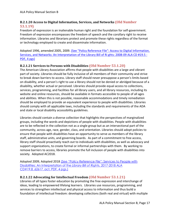# **B.2.1.20 Access to Digital Information, Services, and Networks (Old Number 53.1.19)**

Freedom of expression is an inalienable human right and the foundation for self-government. Freedom of expression encompasses the freedom of speech and the corollary right to receive information. Libraries and librarians protect and promote these rights regardless of the format or technology employed to create and disseminate information.

Adopted 1996, amended 2005, 2009. (See "Policy Reference File": Access to Digital Information, Services, and Networks: An Interpretation of the Library Bill of Ri ghts: 2008-09 ALA CD #19.5 - PDF, 4 pgs)

# **B.2.1.21 Services to Persons with Disabilities (Old Number 53.1.20)**

The American Library Association affirms that people with disabilities are a large and vibrant part of society. Libraries should be fully inclusive of all members of their community and strive to break down barriers to access. Library staff should never presuppose a person's limits based on disability, and a person's right to use a library should not be denied or abridged because of a disability, whether actual or perceived. Libraries should provide equal access to collections, services, programming, and facilities for all library users, and all library resources, including its website and online resources, should be available in formats accessible to people of all ages and abilities. When this is not possible, reasonable accommodations and timely remediation should be employed to provide an equivalent experience to people with disabilities. Libraries should comply with all applicable laws, including the standards and requirements of the ADA and state or local disability accessibility guidelines.

Libraries should contain a diverse collection that highlights the perspectives of marginalized groups, including the words and depictions of people with disabilities. People with disabilities are to be reflected in the collection not as a single group but as an intersectional part of the community, across age, race, gender, class, and orientation. Libraries should adopt policies to ensure that people with disabilities have an opportunity to serve as members of the library staff, administrative units, and governing boards. As part of a commitment to free access, library staff should proactively reach out to individuals with disabilities, as well as advocacy and support organizations, to create formal or informal partnerships with them. By working to remove barriers to access, libraries promote the full inclusion of people with disabilities into society. Adopted AC2018.

Adopted 2009, Adopted 2018 (*See* "Policy Reference File": Services to People with Disabilities: An Interpretation of the *Library Bill of Rights*, 2017-2018 ALA CD#19.8\_62617\_act, PDF, 4 pgs.)

#### **B.2.1.22 Advocating for Intellectual Freedom (Old Number 53.1.21)**

Libraries of all types foster education by promoting the free expression and interchange of ideas, leading to empowered lifelong learners. Libraries use resources, programming, and services to strengthen intellectual and physical access to information and thus build a foundation of intellectual freedom: developing collections (both real and virtual) with multiple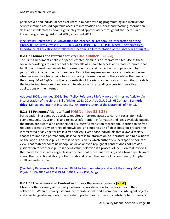perspectives and individual needs of users in mind; providing programming and instructional services framed around equitable access to information and ideas; and teaching information skills and intellectual freedom rights integrated appropriately throughout the spectrum of library programming. Adopted 2009, amended 2014.

(See "Policy Reference File" Advocating for Intellectual Freedom: An Interpretation of the Library Bill of Rights: revised, 2013-2014 ALA CD#19.6 63014 - PDF, 6 pgs). Formerly titled: Importance of Education to Intellectual Freedom: An Interpretation of the Library Bill of Rights).

# **B.2.1.23 Minors and Internet Activity (Old Number 53.1.22)**

The First Amendment applies to speech created by minors on interactive sites. Use of these social networking sites in a school or library allows minors to access and create resources that fulfill their interests and needs for information, for social connection with peers, and for participation in a community of learners. Restricting expression and access to interactive web sites because the sites provide tools for sharing information with others violates the tenets of the *Library Bill of Rights*. It is the responsibility of librarians and educators to monitor threats to the intellectual freedom of minors and to advocate for extending access to interactive applications on the Internet.

Adopted 2009, amended 2014. (See "Policy Reference File": Minors and Internet Activity: An Interpretation of the Library Bill of Rights: 2013-2014 ALA CD#19.13\_63014\_act). **Formerly titled:** Minors and Internet Interactivity: An Interpretation of the Library Bill of Rights).

# **B.2.1.24 Prisoners' Right to Read (Old Number 53.1.23)**

Participation in a democratic society requires unfettered access to current social, political, economic, cultural, scientific, and religious information. Information and ideas available outside the prison are essential to prisoners for a successful transition to freedom. Learning to be free requires access to a wide range of knowledge, and suppression of ideas does not prepare the incarcerated of any age for life in a free society. Even those individuals that a lawful society chooses to imprison permanently deserve access to information, to literature, and to a window on the world. Censorship is a process of exclusion by which authority rejects specific points of view. That material contains unpopular views or even repugnant content does not provide justification for censorship. Unlike censorship, selection is a process of inclusion that involves the search for resources, regardless of format, that represent diversity and a broad spectrum of ideas. The correctional library collection should reflect the needs of its community. Adopted 2010, amended 2014.

(*See* Policy Reference File: Prisoners' Right to Read: An Interpretation of the *Library Bill of Rights*: 2013–2014 ALA CD#19.14\_63014\_act – PDF, 6 pgs. )

# **B.2.1.25 User-Generated Content in Library Discovery Systems (NEW)**

Libraries offer a variety of discovery systems to provide access to the resources in their collections. When discovery systems incorporate social media components, intelligent objects and knowledge-sharing tools, they create opportunities for users to contribute to discussions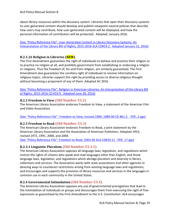about library resources within the discovery system. Libraries that open their discovery systems to user-generated content should develop and publish viewpoint-neutral policies that describe how users may contribute, how user-generated content will be displayed, and how the personal information of contributors will be protected. Adopted, January 2016.

(See "Policy Reference File": User-Generated Content in Library Discovery Systems: An Interpretation of the Library Bill of Rights, 2015-2016 ALA CD#19.2. Adopted January 12, 2016)

# **B.2.1.26 Religion in Libraries (NEW)**

The First Amendment guarantees the right of individuals to believe and practice their religion or to practice no religion at all, and prohibits government from establishing or endorsing a religion or religions. Thus the freedom of, for and from religion, are similarly guaranteed. The First Amendment also guarantees the corollary right of individuals to receive information on religious topics. Libraries support this right by providing access to diverse religious thought without becoming a proponent of any of them. Adopted AC 2016

(See "Policy Reference File": Religion in American Libraries: An Interpretation of the Library Bill of Rights, 2015-2016 CD #19.9. Adopted June 28, 2016)

# **B.2.2 Freedom to View (Old Number 53.2)**

The American Library Association endorses Freedom to View, a statement of the American Film and Video Association.

(See ''Policy Reference File'': Freedom to View, revised 1990; 1989-90 CD #61.5. - PDF, 2 pgs)

# **B.2.3 Freedom to Read (Old Number 53.3)**

The American Library Association endorses Freedom to Read, a joint statement by the American Library Association and the Association of American Publishers. Adopted 1953, revised 1972, 1991, 2000, and 2004.

(See "Policy Reference File": Freedom to Read: 2003-04 ALA CD#19.11 - PDF, 17 pgs)

# **B.2.3.1 Linguistic Pluralism (Old Number 53.3.1)**

The American Library Association opposes all language laws, legislation, and regulations which restrict the rights of citizens who speak and read languages other than English, and those language laws, legislation, and regulations which abridge pluralism and diversity in library collections and services. The Association works with state associations and other agencies in devising ways to counteract restrictions arising from existing language laws and regulations, and encourages and supports the provision of library resources and services in the languages in common use in each community in the United States.

# **B.2.4 Governmental Intimidation (Old Number 53.4)**

The American Library Association opposes any use of governmental prerogatives that lead to the intimidation of individuals or groups and discourages them from exercising the right of free expression as guaranteed by the First Amendment to the U.S. Constitution. ALA encourages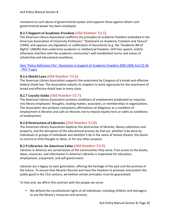resistance to such abuse of governmental power and supports those against whom such governmental power has been employed.

## **B.2.5 Support of Academic Freedom (Old Number 53.5)**

The American Library Association reaffirms the principles of academic freedom embodied in the American Association of University Professors' "Statement on Academic Freedom and Tenure" (1940), and opposes any legislation or codification of documents (e.g. the "Academic Bill of Rights" (ABOR)) that undermine academic or intellectual freedom, chill free speech, and/or otherwise interfere with the academic community's well-established norms and values of scholarship and educational excellence.

(See "Policy Reference File": Resolution in Support of Academic Freedom 2005-2006 ALA CD 36 - PDF, 9 pgs).

## **B.2.6 Shield Laws (Old Number 53.6)**

The American Library Association supports the enactment by Congress of a broad and effective federal shield law. The Association exhorts its chapters to work vigorously for the enactment of broad and effective shield laws in every state.

## **B.2.7 Loyalty Oaths (Old Number 53.7)**

The American Library Association protests conditions of employment predicated on inquiries into library employees' thoughts, reading matter, associates, or memberships in organizations. The Association also protests compulsory affirmations of allegiance as a condition of employment in libraries and calls on libraries not to impose loyalty tests or oaths as conditions of employment.

#### **B.2.8 Destruction of Libraries (Old Number 53.8)**

The American Library Association deplores the destruction of libraries, library collections and property, and the disruption of the educational process by that act, whether it be done by individuals or groups of individuals and whether it be in the name of honest dissent, the desire to control or limit thought or ideas, or for any other purpose.

#### **B.2.9 Libraries: An American Value (Old Number 53.9)**

Libraries in America are cornerstones of the communities they serve. Free access to the books, ideas, resources, and information in America's libraries is imperative for education, employment, enjoyment, and self-government.

Libraries are a legacy to each generation, offering the heritage of the past and the promise of the future. To ensure that libraries flourish and have the freedom to promote and protect the public good in the 21st century, we believe certain principles must be guaranteed.

To that end, we affirm this contract with the people we serve:

• We defend the constitutional rights of all individuals, including children and teenagers, to use the library's resources and services;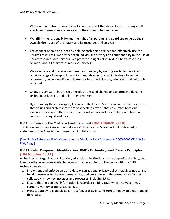- We value our nation's diversity and strive to reflect that diversity by providing a full spectrum of resources and services to the communities we serve;
- We affirm the responsibility and the right of all parents and guardians to guide their own children's use of the library and its resources and services;
- We connect people and ideas by helping each person select and effectively use the library's resources; We protect each individual's privacy and confidentiality in the use of library resources and services; We protect the rights of individuals to express their opinions about library resources and services;
- We celebrate and preserve our democratic society by making available the widest possible range of viewpoints, opinions and ideas, so that all individuals have the opportunity to become lifelong learners – informed, literate, educated, and culturally enriched.
- Change is constant, but these principles transcend change and endure in a dynamic technological, social, and political environment.
- By embracing these principles, libraries in the United States can contribute to a future that values and protects freedom of speech in a world that celebrates both our similarities and our differences, respects individuals and their beliefs, and holds all persons truly equal and free.

#### **B.2.10 Violence in the Media: A Joint Statement (Old Number 53.10)**

The American Library Association endorses Violence in the Media: A Joint Statement, a statement of the Association of American Publishers, Inc.

(See "Policy Reference File": Violence in the Media: A Joint Statement: 2000-2001 CD #19.3 - PDF, 6 pgs)

## **B.2.11 Radio Frequency Identification (RFID) Technology and Privacy Principles (Old Number 53.11)**

All businesses, organizations, libraries, educational institutions, and non-profits that buy, sell, loan, or otherwise make available books and other content to the public utilizing RFID technologies shall:

- 1. Implement and enforce an up-to-date organizational privacy policy that gives notice and full disclosure as to the use, terms of use, and any change in the terms of use for data collected via new technologies and processes, including RFID.
- 2. Ensure that no personal information is recorded on RFID tags, which, however, may contain a variety of transactional data.
- 3. Protect data by reasonable security safeguards against interpretation by an unauthorized third party.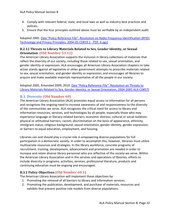- 4. Comply with relevant federal, state, and local laws as well as industry best practices and policies.
- 5. Ensure that the four principles outlined above must be verifiable by an independent audit.

Adopted 2005. (See "Policy Reference File": Resolution on Radio Frequency Identification (RFID) Technology and Privacy Principles: 2004-05 CD#19.1 - PDF, 6 pgs)

## **B.2.12 Threats to Library Materials Related to Sex, Gender Identity, or Sexual Orientation (Old Number 53.12)**

The American Library Association supports the inclusion in library collections of materials that reflect the diversity of our society, including those related to sex, sexual orientation, and gender identity or expression. ALA encourages all American Library Association chapters to take active stands against all legislative or other government attempts to proscribe materials related to sex, sexual orientation, and gender identity or expression; and encourages all libraries to acquire and make available materials representative of all the people in our society.

Adopted 2005, Amended 2009, 2010. (See "Policy Reference File": Resolution on Threats to Library Materials Related to Sex, Gender Identity, or Sexual Orientation, 2004-2005 ALA CD#57)

# **B.3. Diversity (Old Number 60)**

The American Library Association (ALA) promotes equal access to information for all persons and recognizes the ongoing need to increase awareness of and responsiveness to the diversity of the communities we serve. ALA recognizes the critical need for access to library and information resources, services, and technologies by all people, especially those who may experience language or literacy-related barriers; economic distress; cultural or social isolation; physical or attitudinal barriers; racism; discrimination on the basis of appearance, ethnicity, immigrant status, religious background, sexual orientation, gender identity, gender expression; or barriers to equal education, employment, and housing.

Libraries can and should play a crucial role in empowering diverse populations for full participation in a democratic society. In order to accomplish this, however, libraries must utilize multivariate resources and strategies. In the library workforce, concrete programs of recruitment, training, development, advancement and promotion are needed in order to increase and retain diverse library personnel who are reflective of the society we serve. Within the American Library Association and in the services and operations of libraries, efforts to include diversity in programs, activities, services, professional literature, products and continuing education must be ongoing and encouraged.

# **B.3.1 Policy Objectives (Old Number 60.1)**

The American Library Association will implement these objectives by:

- 1. Promoting the removal of all barriers to library and information services.
- 2. Promoting the publication, development, and purchase of materials, resources and exhibits that present positive role models from diverse populations.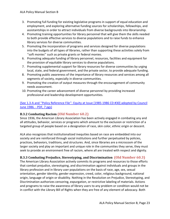- 3. Promoting full funding for existing legislative programs in support of equal education and employment, and exploring alternative funding sources for scholarships, fellowships, and assistantships in order to attract individuals from diverse backgrounds into librarianship.
- 4. Promoting training opportunities for library personnel that will give them the skills needed to both provide effective services to diverse populations and to raise funds to enhance library services for diverse communities.
- 5. Promoting the incorporation of programs and services designed for diverse populations into the budgets of all types of libraries, rather than supporting these activities solely from ''soft monies'' such as private grants or federal monies.
- 6. Promoting adequate funding of library personnel, resources, facilities and equipment for the provision of equitable library services to diverse populations.
- 7. Promoting supplemental support for library resources for diverse communities by urging local, state, and federal government, and the private sector, to provide adequate funding.
- 8. Promoting public awareness of the importance of library resources and services among all segments of society, especially in diverse communities.
- 9. Promoting the creation of output measures through the encouragement of community needs assessment.
- 10. Promoting the career advancement of diverse personnel by providing increased professional and leadership development opportunities.

(See 1.3-A and ''Policy Reference File'': Equity at Issue [1985-1986 CD #30] adopted by Council June 1986. - PDF, 7 pgs)

# **B.3.2 Combating Racism (Old Number 60.2)**

Since 1936, the American Library Association has been actively engaged in combating any and all attitudes, behavior, services or programs which amount to the exclusion or restriction of a targeted group of people based on a designation of race, skin color, ethnic origin or descent.

ALA also recognizes that institutionalized inequities based on race are embedded into our society and are reinforced through social institutions and further perpetuated by policies, practices, behaviors, traditions, and structures. And, since libraries are a microcosm of the larger society and play an important and unique role in the communities they serve, they must seek to provide an environment free of racism, where all are treated with respect and dignity.

# **B.3.3 Combating Prejudice, Stereotyping, and Discrimination (Old Number 60.3)**

The American Library Association actively commits its programs and resources to those efforts that combat prejudice, stereotyping, and discrimination against individuals and groups in the library profession and in library user populations on the basis of race, age, sex, sexual orientation, gender identity, gender expression, creed, color, religious background, national origin, language of origin or disability. Nothing in the Resolution on Prejudice, Stereotyping, and Discrimination authorizes censoring, expurgation, or restrictive labeling of materials. Actions and programs to raise the awareness of library users to any problem or condition would not be in conflict with the Library Bill of Rights when they are free of any element of advocacy. Both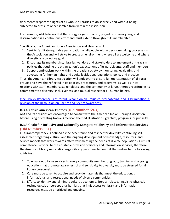documents respect the rights of all who use libraries to do so freely and without being subjected to pressure or censorship from within the institution.

Furthermore, ALA believes that the struggle against racism, prejudice, stereotyping, and discrimination is a continuous effort and must extend throughout its membership.

Specifically, the American Library Association and libraries will:

- 1. Seek to facilitate equitable participation of all people within decision-making processes in the Association and will strive to create an environment where all are welcome and where diversity is a collective goal.
- 2. Encourage its membership, libraries, vendors and stakeholders to implement anti-racism policies that outline the organization's expectations of its participants, staff and members.
- 3. Support anti-racism work within the broader society by monitoring, evaluating and advocating for human rights and equity legislation, regulations, policy and practice.

Thus, the American Library Association will endeavor to ensure full representation of all racial groups and have this reflected in its policies, procedures, and programs, as well as in its relations with staff, members, stakeholders, and the community at large, thereby reaffirming its commitment to diversity, inclusiveness, and mutual respect for all human beings.

(See ''Policy Reference File'' for full Resolution on Prejudice, Stereotyping, and Discrimination, a revision of the Resolution on Racism and Sexism Awareness.)

# **B.3.4 Native American Themes (Old Number 59.3)**

ALA and its divisions are encouraged to consult with the American Indian Library Association before using or creating Native American themed illustrations, graphics, programs, or publicity.

# **B.3.5 Goals for Inclusive and Culturally Competent Library and Information Services (Old Number 60.4)**

Cultural competency is defined as the acceptance and respect for diversity, continuing selfassessment regarding culture, and the ongoing development of knowledge, resources, and service models that work towards effectively meeting the needs of diverse populations. Cultural competence is critical to the equitable provision of library and information services; therefore, the American Library Association urges library personnel to commit themselves to the following guidelines.

- 1. To ensure equitable services to every community member or group, training and ongoing education that promote awareness of and sensitivity to diversity must be stressed for all library personnel.
- 2. Care must be taken to acquire and provide materials that meet the educational, informational, and recreational needs of diverse communities.
- 3. Efforts to identify and eliminate cultural, economic, literacy-related, linguistic, physical, technological, or perceptional barriers that limit access to library and information resources must be prioritized and ongoing.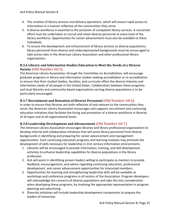- 4. The creation of library services and delivery operations, which will ensure rapid access to information in a manner reflective of the communities they serve.
- 5. A diverse workforce is essential to the provision of competent library services. A concerted effort must be undertaken to recruit and retain diverse personnel at every level of the library workforce. Opportunities for career advancement must also be available to these individuals.
- 6. To ensure the development and enhancement of library services to diverse populations, library personnel from diverse and underrepresented backgrounds must be encouraged to take active roles in the American Library Association and other professional library organizations.

# **B.3.6 Library and Information Studies Education to Meet the Needs of a Diverse Society (Old Number 60.5)**

The American Library Association, through the Committee on Accreditation, will encourage graduate programs in library and information studies seeking accreditation or re-accreditation to ensure that their student bodies, faculties, and curricular effect the diverse histories and information needs of all people in the United States. Collaboration between these programs and local libraries and community-based organizations serving diverse populations is to be particularly encouraged.

# **B.3.7 Recruitment and Retention of Diverse Personnel (Old Number 60.6)**

In order to ensure that libraries are both reflective of and relevant to the communities they serve, the American Library Association encourages and supports recruitment and continuing education initiatives that facilitate the hiring and promotion of a diverse workforce in libraries of all types and at all organizational levels.

# **B.3.8 Leadership Development and Advancement (Old Number 60.7)**

The American Library Association encourages libraries and library professional organizations to develop internal and collaborative initiatives that will assist library personnel from diverse backgrounds in identifying and preparing for career advancement and management opportunities. Such continuing education programs and learning modules may promote the development of skills necessary for leadership in 21st century information environments.

- 1. Libraries will be encouraged to provide information, training, and skill development activities to enhance leadership capabilities for diverse populations in the library profession.
- 2. ALA will assist in identifying proven leaders willing to participate as mentors to provide feedback, encouragement, and advice regarding continuing education, professional development, and career advancement opportunities for interested members.
- 3. Opportunities for learning and strengthening leadership skills will be available as workshops and conference programs in all sectors of the Association. Program developers will acknowledge the concerns of diverse populations and take this into consideration when developing these programs, by involving the appropriate representation in program planning and advertising.
- 4. Diversity initiatives will include leadership development components to prepare the leaders of tomorrow.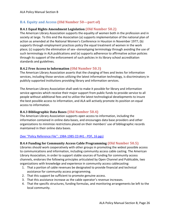# **B.4. Equity and Access (Old Number 50—part of)**

# **B.4.1 Equal Rights Amendment Legislation (Old Number 50.2)**

The American Library Association supports the equality of women both in the profession and in society at large. To this end the Association (a) supports implementation of the national plan of action as amended at the National Women's Conference in Houston in November 1977; (b) supports through employment practices policy the equal treatment of women in the work place; (c) supports the elimination of sex--stereotyping terminology through avoiding the use of such terminology in ALA publications and (e) supports adherence to affirmative action policies through its support of the enforcement of such policies in its library school accreditation standards and guidelines.

## **B.4.2 Free Access to Information (Old Number 50.3)**

The American Library Association asserts that the charging of fees and levies for information services, including those services utilizing the latest information technology, is discriminatory in publicly supported institutions providing library and information services.

The American Library Association shall seek to make it possible for library and information service agencies which receive their major support from public funds to provide service to all people without additional fees and to utilize the latest technological developments to insure the best possible access to information, and ALA will actively promote its position on equal access to information.

#### **B.4.3 Bibliographic Data Bases (Old Number 50.4)**

The American Library Association supports open access to information, including the information contained in online data bases, and encourages data base providers and other organizations to minimize restrictions placed on their members' use of bibliographic records maintained in their online data bases.

#### (See ''Policy Reference File'': 1984-1985 CD #41 - PDF, 16 pgs)

#### **B.4.4 Funding for Community Access Cable Programming (Old Number 50.5)**

Libraries should work cooperatively with other groups in promoting the widest possible access to communications and information, including community access cable casting. The American Library Association, in order to support stable sources of funding for community access channels, endorses the following principles articulated by Open Channel and Publicable, two organizations with knowledge and experience in community access cablecasting:

- 1. That a portion of cable revenues be designated to provide financial and technical assistance for community access programming.
- 2. That this support be sufficient to promote genuine access.
- 3. That this assistance increase as the cable operator's revenue increases.
- 4. That the specific structures, funding formulas, and monitoring arrangements be left to the local community.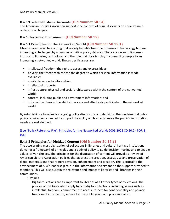# **B.4.5 Trade Publishers Discounts (Old Number 50.14)**

The American Library Association supports the concept of equal discounts on equal volume orders for all buyers.

# **B.4.6 Electronic Environment (Old Number 50.15)**

## **B.4.6.1 Principles for the Networked World (Old Number 50.15.1)**

Libraries are crucial to assuring that society benefits from the promises of technology but are increasingly challenged by a number of critical policy debates. There are seven policy areas intrinsic to libraries, technology, and the role that libraries play in connecting people to an increasingly networked world. These specific areas are:

- intellectual freedom, the right to access and express ideas;
- privacy, the freedom to choose the degree to which personal information is made available;
- equitable access to information;
- intellectual property;
- infrastructure, physical and social architectures within the context of the networked world;
- content, including public and government information; and
- information literacy, the ability to access and effectively participate in the networked world.

By establishing a baseline for ongoing policy discussions and decisions, the fundamental public policy requirements needed to support the ability of libraries to serve the public's information needs are well defined.

# (See "Policy Reference File": Principles for the Networked World: 2001-2002 CD 20.2 - PDF, 8 pgs)

# **B.4.6.2 Principles for Digitized Content (Old Number 50.15.2)**

The accelerating mass digitization of collections in libraries and cultural heritage institutions demands a framework of principles and a body of policy to guide decision-making and to enable values-driven choices. The principles for the digitization of content will provoke a review of American Library Association policies that address the creation, access, use and preservation of digital materials and that require revision, enhancement and creation. This is critical to the advancement of ALA's leadership role in the information society and to the support provided to members. This will also sustain the relevance and impact of libraries and librarians in their communities.

1.Values

Digital collections are as important to libraries as all other types of collections. The policies of the Association apply fully to digital collections, including values such as intellectual freedom, commitment to access, respect for confidentiality and privacy, freedom of information, service for the public good, and professionalism.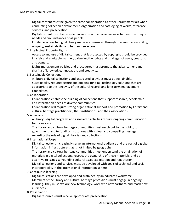Digital content must be given the same consideration as other library materials when conducting collection development, organization and cataloging of works, reference services, and preservation.

Digital content must be provided in various and alternative ways to meet the unique needs and circumstances of all people.

Equitable access to digital library materials is ensured through maximum accessibility, ubiquity, sustainability, and barrier-free access

2.Intellectual Property Rights

Access to and use of digital content that is protected by copyright should be provided in a fair and equitable manner, balancing the rights and privileges of users, creators, and owners.

Rights management policies and procedures must promote the advancement and sharing of knowledge, innovation, and creativity.

3.Sustainable Collections

A library's digital collections and associated activities must be sustainable. Sustainability requires secure and ongoing funding, technology solutions that are appropriate to the longevity of the cultural record, and long-term management capabilities.

4.Collaboration

Collaboration enables the building of collections that support research, scholarship and information needs of diverse communities.

Collaboration will require strong organizational support and promotion by library and cultural heritage practitioners, their institutions, and their associations.

#### 5.Advocacy

A library's digital programs and associated activities require ongoing communication for its success.

The library and cultural heritage communities must reach out to the public, to government, and to funding institutions with a clear and compelling message regarding the role of digital libraries and collections.

#### 6.International Scope

Digital collections increasingly serve an international audience and are part of a global information infrastructure that is not limited by geography.

The library and cultural heritage communities must understand the origination of materials in digital collections, respect the ownership of these materials, and be attentive to issues surrounding cultural asset exploitation and repatriation. Digital collections and services must be developed with goals of technical and social interoperability in the international information sphere.

7.Continuous learning

Digital collections are developed and sustained by an educated workforce. Members of the library and cultural heritage professions must engage in ongoing learning. They must explore new technology, work with new partners, and reach new audiences.

#### 8.Preservation

Digital resources must receive appropriate preservation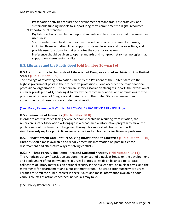Preservation activities require the development of standards, best practices, and sustainable funding models to support long-term commitment to digital resources.

9.Importance of Standards

Digital collections must be built upon standards and best practices that maximize their usefulness.

Such standards and best practices must serve the broadest community of users, including those with disabilities, support sustainable access and use over time, and provide user functionality that promotes the core library values.

Preference should be given to open standards and non-proprietary technologies that support long-term sustainability.

# **B.5. Libraries and the Public Good (Old Number 50—part of)**

#### **B.5.1 Nominations to the Posts of Librarian of Congress and of Archivist of the United States (Old Number 50.7)**

The privilege of reviewing nominations made by the President of the United States to the highest government posts in their respective professions is one accorded the major national professional organizations. The American Library Association strongly supports the extension of a similar privilege to ALA, enabling it to review the recommendations and nominations for the positions of Librarian of Congress and of Archivist of the United States whenever new appointments to those posts are under consideration.

#### (See ''Policy Reference File'': July 1975 CD #58, 1986-1987 CD #18 - PDF, 8 pgs)

#### **B.5.2 Financing of Libraries (Old Number 50.8)**

In order to assist libraries facing severe economic problems resulting from inflation, the American Library Association will engage in a broad media information program to make the public aware of the benefits to be gained through tax support of libraries, and will simultaneously explore public financing alternatives for libraries facing financial problems.

#### **B.5.3 Disarmament and Conflict Solving Information in Libraries (Old Number 50.10)**

Libraries should make available and readily accessible information on possibilities for disarmament and alternative ways of solving conflicts.

#### **B.5.4 Nuclear Freeze, the Arms Race and National Security (Old Number 50.11)**

The American Library Association supports the concept of a nuclear freeze on the development and deployment of nuclear weapons. It urges libraries to establish balanced up-to-date collections of library materials on national security in the nuclear age, on nuclear arms, and the movements for disarmament and a nuclear moratorium. The Association furthermore urges libraries to stimulate public interest in these issues and make information available about various courses of action concerned individuals may take.

(See ''Policy Reference File.'')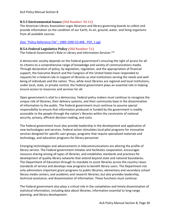#### **B.5.5 Environmental Issues (Old Number 50.12)**

The American Library Association urges librarians and library governing boards to collect and provide information on the condition of our Earth, its air, ground, water, and living organisms from all available sources.

#### (See ''Policy Reference File'': 1989-1990 CD #48 - PDF, 1 pg)

#### **B.5.6 Federal Legislative Policy (Old Number 51)**

The Federal Government's Role in Library and Information Services \*\*

A democratic society depends on the Federal government's ensuring the right of access for all its citizens to a comprehensive range of knowledge and variety of communications media. Through declaration of policy, by legislation, regulation, and the appropriation of financial support, the Executive Branch and the Congress of the United States have responded to requests for a Federal role in support of libraries as vital institutions serving the needs and wellbeing of individuals and the nation. Thus, while most libraries are regional and local institutions, under local, state, or private control, the Federal government plays an essential role in helping ensure access to resources and services for all.

Open government is vital to a democracy. Federal policy makers must continue to recognize the unique role of libraries, their delivery systems, and their community base in the dissemination of information to the public. The Federal government must continue to assume special responsibility to ensure that information produced or funded by the government is readily accessible to the people through the nation's libraries within the constraints of national security, privacy, efficient decision-making, and costs.

The Federal government must also provide leadership in the development and application of new technologies and services. Federal action stimulates local pilot programs for innovative services designed for specific user groups, programs that require specialized materials and technology, and education programs for library personnel.

Emerging technologies and advancements in telecommunications are altering the profile of library service. The Federal government initiates and facilitates cooperation, encourages resource sharing among all types of libraries, and establishes standards and practices for development of quality library networks that extend beyond state and national boundaries. The Department of Education through its mandate to assist libraries across the country raises standards of service and develops new programs to benefit library users. The Department not only administers important grant programs to public libraries, elementary and secondary school library media centers, and academic and research libraries, but also provides leadership, technical assistance, and dissemination of information. These functions must continue.

The Federal government also plays a critical role in the compilation and timely dissemination of statistical information, including data about libraries, information essential to long-range planning, and library development.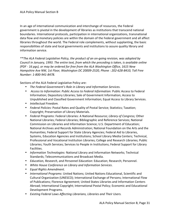In an age of international communication and interchange of resources, the Federal government is pivotal in the development of libraries as institutions that transcend national boundaries. International protocols, participation in international organizations, transnational data flow and monetary policies are within the domain of the Federal government and all affect libraries throughout the world. The Federal role complements, without supplanting, the basic responsibilities of state and local governments and institutions to assure quality library and information service.

*\*\*The ALA Federal Legislative Policy, the product of an on-going revision, was adopted by Council in January, 1993. The entire text, from which the preceding is taken, is available online (PDF - 16 pgs), or may be ordered for free from the ALA Washington Office, 1615 New Hampshire Ave NW, 1st Floor, Washington DC 20009-2520, Phone : 202-628-8410, Toll Free Number: 1-800-941-8478.* 

Sections of the ALA Federal Legislative Policy are:

- *The Federal Government's Role in Library and Information Services.*
- *Access to Information: Public Access to Federal Information:* Public Access to Federal Information; Depository Libraries; Sale of Government Information; Access to Unpublished and Classified Government Information; Equal Access to Library Services.
- *Intellectual Freedom.*
- *Federal Policies:* Postal Rates and Quality of Postal Service; Statistics; Taxation; Copyright; Preservation of Library Materials.
- *Federal Programs*: Federal Libraries: A National Resource; *Library of Congress;* Other National Libraries; Federal Libraries; Bibliographic and Reference Services; National Commission on Libraries and Information Science; U.S. Department of Education; National Archives and Records Administration; National Foundation on the Arts and the Humanities; Federal Support for State Library Agencies; Federal Aid to Libraries, Systems, Education Agencies and Institutions; School Library Media Centers; Technical, Professional and Vocational Institution Libraries; College and Research Libraries; Public Libraries; Youth Services; Services to People in Institutions; Federal Support for Library Facilities.
- *Information Technologies:* National Library and Information Networks; Technical Standards; Telecommunications and Broadcast Media.
- *Education, Research, and Personnel Education*: Education; Research; Personnel.
- *White House Conference on Library and Information Services*.
- *Equal Rights Amendment*.
- *International Programs*: United Nations; United Nations Educational, Scientific and Cultural Organization (UNESCO); International Exchange of Persons; International Flow of Publications; Florence Agreement; United States Libraries and Information Centers Abroad; International Copyright; International Postal Policy; Economic and Educational Development Programs.
- *Existing Federal Laws Affecting Librarians, Libraries and Their Users.*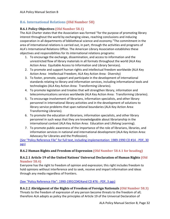# **B.6. International Relations (Old Number 58)**

# **B.6.1 Policy Objectives (Old Number 58.1)**

The ALA Charter states that the Association was formed "for the purpose of promoting library interest throughout the world by exchanging views, reaching conclusions and inducing cooperation in all departments of bibliothecal science and economy."The commitment in the area of international relations is carried out, in part, through the activities and programs of ALA's International Relations Office. The American Library Association establishes these objectives and responsibilities for its international relations programs:

- 1. To encourage the exchange, dissemination, and access to information and the unrestricted flow of library materials in all formats throughout the world (ALA Key Action Area: Equitable Access to Information and Library Services).
- 2. To promote and support human rights and intellectual freedom worldwide (ALA Key Action Area: Intellectual Freedom; ALA Key Action Area: Diversity)
- 3. To foster, promote, support and participate in the development of international standards relating to library and information services, including informational tools and technologies (ALA Key Action Area: Transforming Libraries).
- 4. To promote legislation and treaties that will strengthen library, information and telecommunications services worldwide (ALA Key Action Area: Transforming Libraries).
- 5. To encourage involvement of librarians, information specialists, and other library personnel in international library activities and in the development of solutions to library service problems that span national boundaries (ALA Key Action Area: Transforming Libraries).
- 6. To promote the education of librarians, information specialists, and other library personnel in such ways that they are knowledgeable about librarianship in the international context (ALA Key Action Area: Education and Lifelong Learning).
- 7. To promote public awareness of the importance of the role of librarians, libraries, and information services in national and international development (ALA Key Action Area: Advocacy for Libraries and the Profession).

(*See* "Policy Reference File" for full text, including implementation: 1989-1990 CD #14 - PDF, 30 pgs)

# **B.6.2 Human Rights and Freedom of Expression (Old Number 58.4.1 for heading)**

## **B.6.2.1 Article 19 of the United Nations' Universal Declaration of Human Rights (Old Number 58.4)**

Everyone has the right to freedom of opinion and expression; this right includes freedom to hold opinions without interference and to seek, receive and impart information and ideas through any media regardless of frontiers.

# (See "Policy Reference File": 1990-1991CD#24and CD #76 - PDF, 3 pgs)

# **B.6.2.2 Abridgment of the Rights of Freedom of Foreign Nationals (Old Number 58.3)**

Threats to the freedom of expression of any person become threats to the freedom of all; therefore ALA adopts as policy the principles of Article 19 of the Universal Declaration of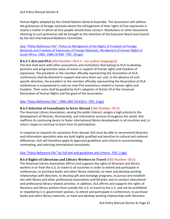Human Rights adopted by the United Nations General Assembly. The Association will address the grievances of foreign nationals where the infringement of their rights of free expression is clearly a matter in which all free people should show concern. Resolutions or other documents attesting to such grievances will be brought to the attention of the Executive Board and Council by the ALA International Relations Committee.

(See "Policy Reference File": Policy on Abridgment of the Rights of Freedom of Foreign Nationals and Freedom of Expression of Foreign Nationals; Abridgment of Human Rights in South Africa: 1985- 1986 CD #58 - PDF, 19 pgs)

# **B.6.2.3** *ALA and IFLA* **(Old Number 58.4.1—for policy language))**

The ALA shall work with other associations and institutions that belong to IFLA to develop positions and programmatic plans of action in support of human rights and freedom of expression. The president or the member officially representing the Association at IFLA conferences shall be directed to support and carry them out; and, in the absence of such specific direction, the president or the member officially representing the Association at IFLA conferences is empowered to vote on new IFLA resolutions related to human rights and freedom. Their votes shall be guided by ALA's adoption of Article 19 of the Universal Declaration of Human Rights and the good of the Association.

# (See "Policy Reference File": 1996-1997 CD #18.4 - PDF, 3 pgs)

# **B.6.3 Selection of Consultants to Serve Abroad (Old Number 58.2)**

The American Library Association, serving the public interest, assigns a high priority to the development of libraries, librarianship, and information services throughout the world. ALA reaffirms its continuing desire to foster international library development in all countries and, in return, hopes to continue to learn from its participation.

In response to requests for assistance from abroad, ALA must be able to recommend librarians and information specialists who are both highly qualified and sensitive to cultural and national differences. ALA will therefore apply its approved guidelines and criteria in recommending, nominating, and selecting international consultants.

#### (*See* "Policy Reference File" for full text and guidelines and criteria - PDF, 2 pgs)

# **B.6.4 Rights of Librarians and Library Workers to Travel (Old Number 58.5)**

The American Library Association affirms and supports the rights of librarians and library workers in or from the U.S. to travel to all countries in order to attend and participate in conferences, to purchase books and other library materials, to meet and develop working relationships with librarians, to develop gift and exchange programs, to pursue and establish ties with library and other professional associations and libraries, and to conduct educational and professional library-related activities. In addition, ALA affirms and supports the rights of librarians and library workers from outside the U.S. to travel to the U.S. and not be prohibited or impeded by U.S. government policies, to attend and participate in conferences, to purchase books and other library materials, to meet and develop working relationships with librarians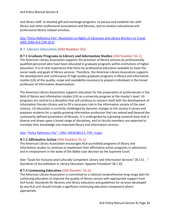and library staff, to develop gift and exchange programs, to pursue and establish ties with library and other professional associations and libraries, and to conduct educational and professional library-related activities.

(*See* "Policy Reference File": Resolution on Rights of Librarians and Library Workers to Travel: 2005-2006 ALA CD# 18.2)

# **B.7. Library Education (Old Number 56)**

## **B.7.1 Graduate Programs in Library and Information Studies (Old Number 56.1)**

The American Library Association supports the provision of library services by professionally qualified personnel who have been educated in graduate programs within institutions of higher education. It is of vital importance that there be professional education available to meet the social needs and goals of library services. Therefore, the American Library Association supports the development and continuance of high quality graduate programs in library and information studies (LIS) of the quality, scope and availability necessary to prepare individuals in the broad profession of information dissemination.

The American Library Association supports education for the preparation of professionals in the field of library and information studies (LIS) as a university program at the master's level. LIS programs are central to a discipline that will continue to concern itself with the development of information literate citizens and to fill a necessary role in the information society of the next century. LIS education is currently challenged by dynamic changes in the society it serves and prepares students for a rapidly growing information profession that can extend well beyond the customarily defined parameters of libraries. It is undergirded by a growing research base that is diverse and draws upon a broad range of disciplines, and its faculty members are expected to translate their knowledge into improved library and information services.

#### (See ''Policy Reference File'': 1992-1993CD#13.1- PDF, 4 pgs)

#### **B.7.2 Affirmative Action (Old Number 56.2)**

The American Library Association encourages ALA-accredited programs of library and information studies to continue to implement their affirmative action programs in admissions and in employment in the wake of the Bakke case decision by the Supreme Court.

(See "Goals for Inclusive and Culturally Competent Library and Information Services" [B.3.5] , '' Standards of Accreditation in Library Education: Appeals Procedure''[B.7.4])

#### **B.7.3 Continuing Education (Old Number 56.3)**

The American Library Association is committed to a national comprehensive long-range plan for continuing education to improve the quality of library service with appropriate support from ALA funds. Standards for libraries and library education and guidelines for services developed by any ALA unit should include a significant continuing education component where appropriate.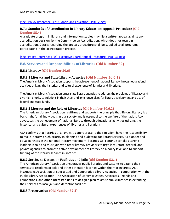## (See ''Policy Reference File'': Continuing Education.- PDF, 2 pgs)

## **B.7.4 Standards of Accreditation in Library Education: Appeals Procedure (Old Number 55.4)**

A graduate program in library and information studies may file a written appeal against any accreditation decision, by the Committee on Accreditation, which does not result in accreditation. Details regarding the appeals procedure shall be supplied to all programs participating in the accreditation process.

#### (See "Policy Reference File": Executive Board Appeal Procedure - PDF, 31 pgs)

# **B.8. Services and Responsibilities of Libraries (Old Number 52)**

## **B.8.1 Literacy (Old Number 50.6)**

## **B.8.1.1 Literacy and State Library Agencies (Old Number 50.6.1)**

The American Library Association supports the achievement of national literacy through educational activities utilizing the historical and cultural experience of libraries and librarians.

The American Library Association urges state library agencies to address the problems of illiteracy and give high priority to solutions in their short and long range plans for library development and use of federal and state funds.

#### **B.8.1.2 Literacy and the Role of Libraries (Old Number 50.6.2)**

The American Library Association reaffirms and supports the principle that lifelong literacy is a basic right for all individuals in our society and is essential to the welfare of the nation. ALA advocates the achievement of national literacy through educational activities utilizing the historical and cultural experiences of libraries and librarians.

ALA confirms that libraries of all types, as appropriate to their mission, have the responsibility to make literacy a high priority in planning and budgeting for library services. As pioneer and equal partners in the national literacy movement, libraries will continue to take a strong leadership role and must join with other literacy providers to urge local, state, federal, and private agencies to promote active development of literacy on a policy level and to support funding of the literacy services in libraries.

#### **B.8.2 Service to Detention Facilities and Jails (Old Number 52.1)**

The American Library Association encourages public libraries and systems to extend their services to residents of jails and other detention facilities within their taxing areas. ALA instructs its Association of Specialized and Cooperative Library Agencies in cooperation with the Public Library Association, The Association of Library Trustees, Advocates, Friends and Foundations, and other interested units to design a plan to assist public libraries in extending their services to local jails and detention facilities.

# **B.8.3 Preservation (Old Number 52.2)**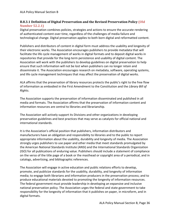# **B.8.3.1 Definition of Digital Preservation and the Revised Preservation Policy (Old Number 52.2.1)**

Digital preservation combines policies, strategies and actions to ensure the accurate rendering of authenticated content over time, regardless of the challenges of media failure and technological change. Digital preservation applies to both born digital and reformatted content.

Publishers and distributors of content in digital form must address the usability and longevity of their electronic works. The Association encourages publishers to provide metadata that will facilitate the life cycle management of works in digital formats and to deposit digital works in repositories that provide for the long-term persistence and usability of digital content. The Association will work with the publishers to develop guidelines on digital preservation to help ensure that such information will not be lost when publishers can no longer retain and disseminate it. The Association encourages research on metadata, software, operating systems, and life cycle management techniques that may affect the preservation of digital works.

ALA affirms that the preservation of library resources protects the public's right to the free flow of information as embodied in the First Amendment to the Constitution and the *Library Bill of Rights*.

The Association supports the preservation of information disseminated and published in all media and formats. The Association affirms that the preservation of information content and information resources are central to libraries and librarianship.

The Association will actively support its Divisions and other organizations in developing preservation guidelines and best practices that may serve as catalysts for official national and international standards.

It is the Association's official position that publishers, information distributors and manufacturers have an obligation and responsibility to libraries and to the public to report appropriate information about the usability, durability and longevity of media. The Association strongly urges publishers to use paper and other media that meet standards promulgated by the American National Standards Institute (ANSI) and the International Standards Organization (ISO) for all publications of enduring value. Publishers should include a statement of compliance on the verso of the title page of a book or the masthead or copyright area of a periodical, and in catalogs, advertising, and bibliographic references.

The Association will engage in active education and public relations efforts to develop, promote, and publicize standards for the usability, durability, and longevity of information media; to engage both librarians and information producers in the preservation process; and to produce educational materials devoted to promoting the longevity of information resources. The federal government must provide leadership in developing an expansive and inclusive national preservation policy. The Association urges the federal and state government to take responsibility for the longevity of information that it publishes on paper, in microform, and in digital formats.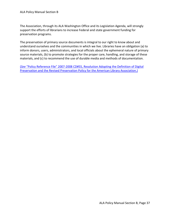The Association, through its ALA Washington Office and its Legislation Agenda, will strongly support the efforts of librarians to increase Federal and state government funding for preservation programs.

The preservation of primary source documents is integral to our right to know about and understand ourselves and the communities in which we live. Libraries have an obligation (a) to inform donors, users, administrators, and local officials about the ephemeral nature of primary source materials, (b) to promote strategies for the proper care, handling, and storage of these materials, and (c) to recommend the use of durable media and methods of documentation.

(*See* "Policy Reference File" 2007-2008 CD#55, Resolution Adopting the Definition of Digital Preservation and the Revised Preservation Policy for the American Library Association.)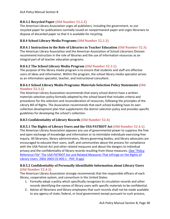## **B.8.3.2 Recycled Paper (Old Number 52.2.2)**

The American Library Association urges all publishers, including the government, to use recycled paper for publications normally issued on nonpermanent paper and urges librarians to dispose of discarded paper so that it is available for recycling.

## **B.8.4 School Library Media Programs (Old Number 52.2.3)**

## **B.8.4.1 Instruction in the Role of Libraries in Teacher Education (Old Number 52.3)**

The American Library Association and the American Association of School Librarians Division recommend instruction in the role of libraries and the use of information resources as an integral part of all teacher education programs.

#### **B.8.4.2 The School Library Media Program (Old Number 52.3.1)**

The purpose of the library media program is to ensure that students and staff are effective users of ideas and information. Within the program, the school library media specialist serves as an information specialist, teacher, and instructional consultant.

## **B.8.4.3 School Library Media Programs: Materials Selection Policy Statements (Old Number 52.3.2)**

The American Library Association recommends that every school district have a written materials selection policy-formally adopted by the school board that includes criteria and procedures for the selection and reconsideration of resources, following the principles of the Library Bill of Rights. The Association recommends that each school building have its own collection development plan that supplements the district selection policy and provides specific guidelines for developing the school's collection.

# **B.8.5 Confidentiality of Library Records (Old Number 52.4)**

# **B.8.5.1 The Rights of Library Users and the USA PATRIOT Act (Old Number 52.4.1)**

The American Library Association opposes any use of governmental power to suppress the free and open exchange of knowledge and information or to intimidate individuals exercising free inquiry. All librarians, library administrators, library governing bodies, and library advocates are encouraged to educate their users, staff, and communities about the process for compliance with the USA Patriot Act and other related measures and about the dangers to individual privacy and the confidentiality of library records resulting from those measures. (See "Policy Reference File" The USA PATRIOT Act and Related Measures That Infringe on the Rights of Library Users: 2002-2003 CD #20.1 - PDF, 8 pgs)

## **B.8.5.2 Confidentiality of Personally Identifiable Information about Library Users (Old Number 52.4.2)**

The American Library Association strongly recommends that the responsible officers of each library, cooperative system, and consortium in the United States:

- 1. Formally adopt a policy which specifically recognizes its circulation records and other records identifying the names of library users with specific materials to be confidential.
- 2. Advise all librarians and library employees that such records shall not be made available to any agency of state, federal, or local government except pursuant to such process,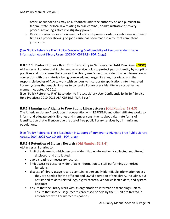order, or subpoena as may be authorized under the authority of, and pursuant to, federal, state, or local law relating to civil, criminal, or administrative discovery procedures or legislative investigatory power.

3. Resist the issuance or enforcement of any such process, order, or subpoena until such time as a proper showing of good cause has been made in a court of competent jurisdiction.

(See "Policy Reference File": Policy Concerning Confidentiality of Personally Identifiable Information About Library Users: 2003-04 CD#19.9 - PDF, 2 pgs)

## **B.8.5.2.1. Protect Library User Confidentiality in Self-Service Hold Practices****(NEW)**

ALA urges all libraries that implement self-service holds to protect patron identity by adopting practices and procedures that conceal the library user's personally identifiable information in connection with the materials being borrowed; and, urges libraries, librarians, and the responsible bodies of ALA to work with vendors to incorporate applications into integrated library systems that enable libraries to conceal a library user's identity in a cost-effective manner. Adopted AC 2011.

(See "Policy Reference File" Resolution to Protect Library User Confidentiality in Self-Service Hold Practices: 2010-2011 ALA CD#19.3-PDF, 4 pgs.)

## **B.8.5.3 Immigrants' Rights to Free Public Library Access (Old Number 52.4.3)**

The American Library Association in cooperation with REFORMA and other affiliates works to inform and educate public libraries and member constituents about alternate forms of identification that will encourage the use of free public library services by all immigrant populations.

(See "Policy Reference File": Resolution in Support of Immigrants' Rights to Free Public Library Access. 2004-2005 ALA CD #65 - PDF, 1 pg)

#### **B.8.5.4 Retention of Library Records (Old Number 52.4.4)**

ALA urges all libraries to:

- limit the degree to which personally identifiable information is collected, monitored, disclosed, and distributed;
- avoid creating unnecessary records;
- limit access to personally identifiable information to staff performing authorized functions;
- dispose of library usage records containing personally identifiable information unless they are needed for the efficient and lawful operation of the library, including, but not limited to data-related logs, digital records, vendor-collected data, and system backups;
- ensure that the library work with its organization's information technology unit to ensure that library usage records processed or held by the IT unit are treated in accordance with library records policies;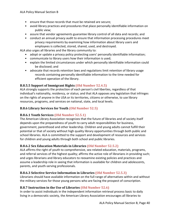- ensure that those records that must be retained are secure;
- avoid library practices and procedures that place personally identifiable information on public view;
- assure that vendor agreements guarantee library control of all data and records; and
- conduct an annual privacy audit to ensure that information processing procedures meet privacy requirements by examining how information about library users and employees is collected, stored, shared, used, and destroyed.

ALA also urges all libraries and the library community to:

- adopt or update a privacy policy protecting users' personally identifiable information;
- communicate to library users how their information is used;
- explain the limited circumstances under which personally identifiable information could be disclosed; and
- advocate that records retention laws and regulations limit retention of library usage records containing personally identifiable information to the time needed for efficient operation of the library.

#### **B.8.5.5 Support of Immigrant Rights (Old Number 52.4.5)**

ALA strongly supports the protection of each person's civil liberties, regardless of that individual's nationality, residency, or status; and that ALA opposes any legislation that infringes on the rights of anyone in the USA or its territories, citizens or otherwise, to use library resources, programs, and services on national, state, and local levels.

#### **B.8.6 Library Services for Youth (Old Number 52.5)**

#### **B.8.6.1 Youth Services (Old Number 52.5.1)**

The American Library Association recognizes that the future of libraries and of society itself depends upon the preparedness of youth to carry adult responsibilities for business, government, parenthood and other leadership. Children and young adults cannot fulfill their potential or that of society without high quality library opportunities through both public and school libraries. ALA is committed to the support and development of resources and services for children and young adults through both school and public libraries.

#### **B.8.6.2 Sex Education Materials in Libraries (Old Number 52.5.2)**

ALA affirms the right of youth to comprehensive, sex-related education, materials, programs, and referral services of the highest quality; affirms the active role of librarians in providing such; and urges librarians and library educators to reexamine existing policies and practices and assume a leadership role in seeing that information is available for children and adolescents, parents, and youth-serving professionals.

#### **B.8.6.3 Selective Service Information in Libraries (Old Number 52.5.3)**

Librarians should have available information on the full range of alternatives within and without the military services for those young persons who are facing the prospect of conscription.

#### **B.8.7 Instruction in the Use of Libraries (Old Number 52.6)**

In order to assist individuals in the independent information retrieval process basic to daily living in a democratic society, the American Library Association encourages all libraries to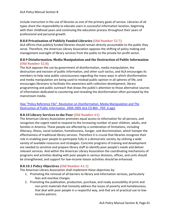include instruction in the use of libraries as one of the primary goals of service. Libraries of all types share the responsibility to educate users in successful information location, beginning with their childhood years and continuing the education process throughout their years of professional and personal growth.

## **B.8.8 Privatization of Publicly Funded Libraries (Old Number 52.7)**

ALA affirms that publicly funded libraries should remain directly accountable to the public they serve. Therefore, the American Library Association opposes the shifting of policy making and management oversight of library services from the public to the private for-profit sector.

## **B.8.9 Disinformation, Media Manipulation and the Destruction of Public Information (Old Number 52.8)**

The ALA opposes the use by government of disinformation, media manipulation, the destruction and excision of public information, and other such tactics, and ALA encourages its members to help raise public consciousness regarding the many ways in which disinformation and media manipulation are being used to mislead public opinion in all spheres of life, and encourages librarians to facilitate this awareness with collection development, library programming and public outreach that draws the public's attention to those alternative sources of information dedicated to countering and revealing the disinformation often purveyed by the mainstream media.

(See "Policy Reference File": Resolution on Disinformation. Media Manipulation and The Destruction of Public Information. 2004-2005 ALA CD #64 - PDF, 6 pgs)

# **B.8.10 Library Services to the Poor (Old Number 61)**

The American Library Association promotes equal access to information for all persons, and recognizes the urgent need to respond to the increasing number of poor children, adults, and families in America. These people are affected by a combination of limitations, including illiteracy, illness, social isolation, homelessness, hunger, and discrimination, which hamper the effectiveness of traditional library services. Therefore it is crucial that libraries recognize their role in enabling poor people to participate fully in a democratic society, by utilizing a wide variety of available resources and strategies. Concrete programs of training and development are needed to sensitize and prepare library staff to identify poor people's needs and deliver relevant services. And within the American Library Association the coordinating mechanisms of programs and activities dealing with poor people in various divisions, offices, and units should be strengthened, and support for low-income liaison activities should be enhanced.

# **B.8.10.1 Policy Objectives (Old Number 61.1)**

The American Library Association shall implement these objectives by:

- 1. Promoting the removal of all barriers to library and information services, particularly fees and overdue charges.
- 2. Promoting the publication, production, purchase, and ready accessibility of print and non-print materials that honestly address the issues of poverty and homelessness, that deal with poor people in a respectful way, and that are of practical use to lowincome patrons.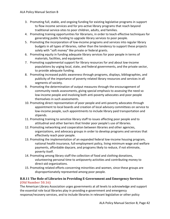- 3. Promoting full, stable, and ongoing funding for existing legislative programs in support to flow income services and for pro-active library programs that reach beyond traditional service-sites to poor children, adults, and families.
- 4. Promoting training opportunities for librarians, in order to teach effective techniques for generating public funding to upgrade library services to poor people.
- 5. Promoting the incorporation of low-income programs and services into regular library budgets in all types of libraries, rather than the tendency to support these projects solely with "soft money" like private or federal grants.
- 6. Promoting equity in funding adequate library services for poor people in terms of materials, facilities, and equipment.
- 7. Promoting supplemental support for library resources for and about low-income populations by urging local, state, and federal governments, and the private sector, to provide adequate funding.
- 8. Promoting increased public awareness through programs, displays, bibliographies, and publicity of the importance of poverty related library resources and services in all segments of society.
- 9. Promoting the determination of output measures through the encouragement of community needs assessments, giving special emphasis to assessing the need so low-income people and involving both anti-poverty advocates and poor people themselves in such assessments.
- 10. Promoting direct representation of poor people and anti-poverty advocates through appointment to local boards and creation of local advisory committees on service to low-income people, such appointments to include library paid transportation and stipends.
- 11. Promoting training to sensitize library staff to issues affecting poor people and to attitudinal and other barriers that hinder poor people's use of libraries.
- 12. Promoting networking and cooperation between libraries and other agencies, organizations, and advocacy groups in order to develop programs and services that effectively reach poor people.
- 13. Promoting the implementation of an expanded federal low-income housing program, national health insurance, full-employment policy, living minimum wage and welfare payments, affordable daycare, and programs likely to reduce, if not eliminate, poverty itself.
- 14. Promoting among library staff the collection of food and clothing donations, volunteering personal time to antipoverty activities and contributing money to direct-aid organizations.
- 15. Promoting related efforts concerning minorities and women, since these groups are disproportionately represented among poor people.

# **B.8.11 The Role of Libraries in Providing E-Government and Emergency Services (Old Number 50.16)**

The American Library Association urges governments at all levels to acknowledge and support the essential role local libraries play in providing e-government and emergency response/recovery services, and to include libraries in relevant legislative or other policy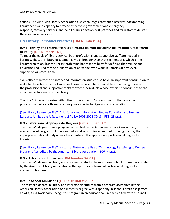actions. The American Library Association also encourages continued research documenting library needs and capacity to provide effective e-government and emergency response/recovery services, and help libraries develop best practices and train staff to deliver these essential services.

# **B.9 Library Personnel Practices (Old Number 54)**

#### **B.9.1 Library and Information Studies and Human Resource Utilization: A Statement of Policy (Old Number 54.1)**

To meet the goals of library service, both professional and supportive staff are needed in libraries. Thus, the library occupation is much broader than that segment of it which is the library profession, but the library profession has responsibility for defining the training and education required for the preparation of personnel who work in libraries at any level, supportive or professional.

Skills other than those of library and information studies also have an important contribution to make to the achievement of superior library service. There should be equal recognition in both the professional and supportive ranks for those individuals whose expertise contributes to the effective performance of the library.

The title ''Librarian'' carries with it the connotation of ''professional'' in the sense that professional tasks are those which require a special background and education.

(See ''Policy Reference File'': ALA Library and Information Studies Education and Human Resource Utilization: A Statement of Policy 2001-2002 CD #3 - PDF, 23 pgs).

#### **B.9.2 Librarians: Appropriate Degrees (Old Number 54.2)**

The master's degree from a program accredited by the American Library Association (or from a master's level program in library and information studies accredited or recognized by the appropriate national body of another country) is the appropriate professional degree for librarians.

(See ''Policy Reference File'': Historical Note on the Use of Terminology Pertaining to Degree Programs Accredited by the American Library Association - PDF, 4 pgs).

#### **B.9.2.1 Academic Librarians (Old Number 54.2.1)**

The master's degree in library and information studies from a library school program accredited by the American Library Association is the appropriate terminal professional degree for academic librarians.

#### **B.9.2.2 School Librarians (OLD NUMBER #54.2.2)**

The master's degree in library and information studies from a program accredited by the American Library Association or a master's degree with a specialty in school librarianship from an ALA/AASL Nationally Recognized program in an educational unit accredited by the Council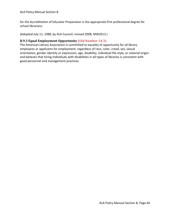for the Accreditation of Educator Preparation is the appropriate first professional degree for school librarians.

(Adopted July 11, 1988, by ALA Council; revised 2008, MW2013.)

## **B.9.3 Equal Employment Opportunity (Old Number 54.3)**

The American Library Association is committed to equality of opportunity for all library employees or applicants for employment, regardless of race, color, creed, sex, sexual orientation, gender identity or expression, age, disability, individual life-style, or national origin: and believes that hiring individuals with disabilities in all types of libraries is consistent with good personnel and management practices.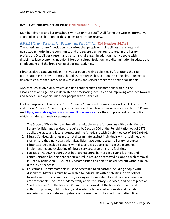# **B.9.3.1 Affirmative Action Plans (Old Number 54.3.1)**

Member libraries and library schools with 15 or more staff shall formulate written affirmative action plans and shall submit these plans to HRDR for review.

#### *B.9.3.2 Library Services for People with Disabilities* **(Old Number 54.3.2)**

The American Library Association recognizes that people with disabilities are a large and neglected minority in the community and are severely under-represented in the library profession. Disabilities cause many personal challenges. In addition, many people with disabilities face economic inequity, illiteracy, cultural isolation, and discrimination in education, employment and the broad range of societal activities.

Libraries play a catalytic role in the lives of people with disabilities by facilitating their full participation in society. Libraries should use strategies based upon the principles of universal design to ensure that library policy, resources and services meet the needs of all people.

ALA, through its divisions, offices and units and through collaborations with outside associations and agencies, is dedicated to eradicating inequities and improving attitudes toward and services and opportunities for people with disabilities.

For the purposes of this policy, "must" means "mandated by law and/or within ALA's control" and "should" means "it is strongly recommended that libraries make every effort to . . ." Please see http://www.ala.org/ascla/asclaissues/libraryservices for the complete text of the policy, which includes explanatory examples.

- 1. The Scope of Disability Law. Providing equitable access for persons with disabilities to library facilities and services is required by Section 504 of the Rehabilitation Act of 1973, applicable state and local statutes, and the Americans with Disabilities Act of 1990 (ADA).
- 2. Library Services. Libraries must not discriminate against individuals with disabilities and shall ensure that individuals with disabilities have equal access to library resources. Libraries should include persons with disabilities as participants in the planning, implementing, and evaluating of library services, programs, and facilities.
- 3. Facilities. The ADA requires that both architectural barriers in existing facilities and communication barriers that are structural in nature be removed as long as such removal is "readily achievable." (i.e., easily accomplished and able to be carried out without much difficulty or expense.)
- 4. Collections. Library materials must be accessible to all patrons including people with disabilities. Materials must be available to individuals with disabilities in a variety of formats and with accommodations, as long as the modified formats and accommodations are "reasonable," do not "fundamentally alter" the library's services, and do not place an "undue burden" on the library. Within the framework of the library's mission and collection policies, public, school, and academic library collections should include materials with accurate and up-to-date information on the spectrum of disabilities,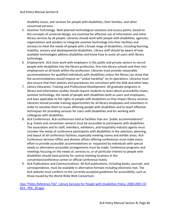disability issues, and services for people with disabilities, their families, and other concerned persons.

- 5. Assistive Technology. Well-planned technological solutions and access points, based on the concepts of universal design, are essential for effective use of information and other library services by all people. Libraries should work with people with disabilities, agencies, organizations and vendors to integrate assistive technology into their facilities and services to meet the needs of people with a broad range of disabilities, including learning, mobility, sensory and developmental disabilities. Library staff should be aware of how available technologies address disabilities and know how to assist all users with library technology.
- 6. Employment. ALA must work with employers in the public and private sectors to recruit people with disabilities into the library profession, first into library schools and then into employment at all levels within the profession. Libraries must provide reasonable accommodations for qualified individuals with disabilities unless the library can show that the accommodations would impose an "undue hardship" on its operations. Libraries must also ensure that their policies and procedures are consistent with the ADA and other laws.
- 7. Library Education, Training and Professional Development. All graduate programs in library and information studies should require students to learn about accessibility issues, assistive technology, the needs of people with disabilities both as users and employees, and laws applicable to the rights of people with disabilities as they impact library services. Libraries should provide training opportunities for all library employees and volunteers in order to sensitize them to issues affecting people with disabilities and to teach effective techniques for providing services for users with disabilities and for working with colleagues with disabilities.
- 8. ALA Conferences. ALA conferences held at facilities that are "public accommodations" (e.g. hotels and convention centers) must be accessible to participants with disabilities. The association and its staff, members, exhibitors, and hospitality industry agents must consider the needs of conference participants with disabilities in the selection, planning, and layout of all conference facilities, especially meeting rooms and exhibit areas. ALA Conference Services Office and division offices offering conferences must make every effort to provide accessible accommodations as requested by individuals with special needs or alternative accessible arrangements must be made. Conference programs and meetings focusing on the needs of, services to, or of particular interest to people with disabilities should have priority for central meeting locations in the convention/conference center or official conference hotels.
- 9. ALA Publications and Communications. All ALA publications, including books, journals, and correspondence, must be available in alternative formats including electronic text. The ALA website must conform to the currently accepted guidelines for accessibility, such as those issued by the World Wide Web Consortium.

(See "Policy Reference File": Library Services for People with Disabilities Policy, 2000-2001 CD #24 - PDF, 20 pgs)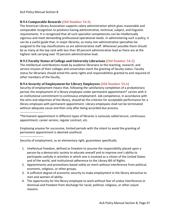## **B.9.4 Comparable Rewards (Old Number 54.4)**

The American Library Association supports salary administration which gives reasonable and comparable recognition to positions having administrative, technical, subject, and linguistic requirements. It is recognized that all such specialist competencies can be intellectually vigorous and meet demanding professional operational needs. In administering such a policy, it can be a useful guide that, in major libraries, as many non-administrative specialties be assigned to the top classifications as are administrative staff. Whenever possible there should be as many at the top rank with less than 30 percent administrative load as there are at the highest rank carrying over 70 percent administrative load.

#### **B.9.5 Faculty Status of College and University Librarians (Old Number 54.5)**

The intellectual contributions made by academic librarians to the teaching, research, and service mission of their colleges and universities merit the granting of faculty status. Faculty status for librarians should entail the same rights and responsibilities granted to and required of other members of the faculty.

#### **B.9.6 Security of Employment for Library Employees (Old Number 54.6)**

Security of employment means that, following the satisfactory completion of a probationary period, the employment of a library employee under permanent appointment\* carries with it an institutional commitment to continuous employment. Job competence, in accordance with the aims and objectives of the library, should be the criterion for acceptable performance for a library employee with permanent appointment. Library employees shall not be terminated without adequate cause and then only after being accorded due process.

-----------------------

-----------------------

\*Permanent appointment in different types of libraries is variously called tenure, continuous appointment, career service, regular contract, etc.

Employing anyone for successive, limited periods with the intent to avoid the granting of permanent appointment is deemed unethical.

Security of employment, as an elementary right, guarantees specifically

- 1. Intellectual freedom, defined as freedom to assume the responsibility placed upon a person by a democratic society to educate oneself and to improve one's ability to participate usefully in activities in which one is involved as a citizen of the United States and of the world, and institutional adherence to the Library Bill of Rights.
- 2. Appointments and promotions based solely on merit without interference from political, economic, religious, or other groups.
- 3. A sufficient degree of economic security to make employment in the library attractive to men and women of ability.
- 4. The opportunity for the library employee to work without fear of undue interference or dismissal and freedom from discharge for racial, political, religious, or other unjust reasons.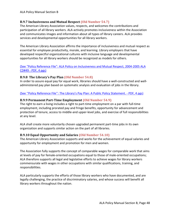#### **B.9.7 Inclusiveness and Mutual Respect (Old Number 54.7)**

The American Library Association values, respects, and welcomes the contributions and participation of all library workers. ALA actively promotes inclusiveness within the Association and communicates images and information about all types of library careers. ALA provides services and developmental opportunities for all library workers.

The American Library Association affirms the importance of inclusiveness and mutual respect as essential for employee productivity, morale, and learning. Library employers that have developed respectful organizational cultures with inclusive language and developmental opportunities for all library workers should be recognized as models for others.

(See "Policy Reference File": ALA Policy on Inclusiveness and Mutual Respect, 2004-2005 ALA CD#49 - PDF, 4 pgs)

#### **B.9.8 The Library's Pay Plan (Old Number 54.8)**

In order to assure equal pay for equal work, libraries should have a well-constructed and welladministered pay plan based on systematic analysis and evaluation of jobs in the library.

(See ''Policy Reference File'': The Library's Pay Plan: A Public Policy Statement. - PDF, 4 pgs)

#### **B.9.9 Permanent Part-Time Employment (Old Number 54.9)**

The right to earn a living includes a right to part-time employment on a par with full-time employment, including prorated pay and fringe benefits, opportunity for advancement and protection of tenure, access to middle-and upper-level jobs, and exercise of full responsibilities at any level.

ALA shall create more voluntarily chosen upgraded permanent part-time jobs in its own organization and supports similar action on the part of all libraries.

#### **B.9.10 Equal Opportunity and Salaries (Old Number 54.10)**

The American Library Association supports and works for the achievement of equal salaries and opportunity for employment and promotion for men and women.

The Association fully supports the concept of comparable wages for comparable work that aims at levels of pay for female-oriented occupations equal to those of male-oriented occupations; ALA therefore supports all legal and legislative efforts to achieve wages for library workers commensurate with wages in other occupations with similar qualifications, training, and responsibilities.

ALA particularly supports the efforts of those library workers who have documented, and are legally challenging, the practice of discriminatory salaries, and whose success will benefit all library workers throughout the nation.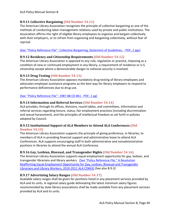## **B.9.11 Collective Bargaining (Old Number 54.11)**

The American Library Association recognizes the principle of collective bargaining as one of the methods of conducting labor-management relations used by private and public institutions. The Association affirms the right of eligible library employees to organize and bargain collectively with their employers, or to refrain from organizing and bargaining collectively, without fear of reprisal.

(See ''Policy Reference File'': Collective Bargaining, Statement of Guidelines. - PDF, 2 pgs)

## **B.9.12 Residency and Citizenship Requirements (Old Number 54.12)**

The American Library Association is opposed to any rule, regulation or practice, imposing as a condition of new or continued employment in any library, a requirement of residence or U.S. citizenship except where a demonstrable danger to national security is involved.

## **B.9.13 Drug Testing (Old Number 54.13)**

The American Library Association opposes mandatory drug testing of library employees and advocates employee assistance programs as the best way for library employers to respond to performance deficiencies due to drug use.

#### (See ''Policy Reference File'': 1987-88 CD #61 - PDF, 1 pg)

## **B.9.14 Information and Referral Services (Old Number 54.14)**

ALA provides, through its offices, divisions, round tables, and committees, information and referral services regarding tenure, status, fair employment practices (including discrimination and sexual harassment), and the principles of intellectual freedom as set forth in policies adopted by Council.

## **B.9.15 Institutional Support of ALA Members to Attend ALA Conferences (Old Number 54.15)**

The American Library Association supports the principle of giving preference, in libraries, to members of ALA in providing financial support and administrative leave to attend ALA Conferences. ALA supports encouraging staff in both administrative and nonadministrative positions in libraries to attend the annual ALA Conference.

#### **B.9.16 Gay, Lesbian, Bisexual, and Transgender Rights (Old Number 54.16)**

The American Library Association supports equal employment opportunity for gay, lesbian, and transgender librarians and library workers. (See "Policy Reference File." A Resolution Reaffirming Equal Employment Opportunity for Gay, Lesbian, Bisexual and Transgender Librarians and Library Workers, 2010-2011 ALA CD#43) (See also B.9.3)

# **B.9.17 Advertising Salary Ranges (Old Number 54.17)**

Available salary ranges shall be given for positions listed in any placement services provided by ALA and its units. A regional salary guide delineating the latest minimum salary figures recommended by state library associations shall be made available from any placement services provided by ALA and its units.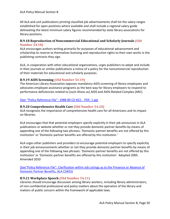All ALA and unit publications printing classified job advertisements shall list the salary ranges established for open positions where available and shall include a regional salary guide delineating the latest minimum salary figures recommended by state library associations for library positions.

#### **B.9.18 Reproduction of Noncommercial Educational and Scholarly Journals (Old Number 54.18)**

ALA encourages authors writing primarily for purposes of educational advancement and scholarship to reserve to themselves licensing and reproduction rights to their own works in the publishing contracts they sign.

ALA, in cooperation with other educational organizations, urges publishers to adopt and include in their journals or similar publications a notice of a policy for the noncommercial reproduction of their materials for educational and scholarly purposes.

#### **B.9.19 AIDS Screening (Old Number 54.19)**

The American Library Association opposes mandatory AIDS screening of library employees and advocates employee assistance programs as the best way for library employers to respond to performance deficiencies related to [such illness as] AIDS and AIDS-Related Complex (ARC).

(See ''Policy Reference File'': 1988-89 CD #22. - PDF, 1 pg)

#### **B.9.20 Comprehensive Health Care (Old Number 54.20)**

ALA recognizes the importance of comprehensive health care for all Americans and its impact on libraries.

ALA encourages that that potential employers specify explicitly in their job announces in ALA publications or website whether or not they provide domestic partner benefits by means of appending one of the following two phrases; 'Domestic-partner benefits are not offered by this institution' or 'Domestic-partner benefits are offered by this institution.'

ALA urges other publishers and providers to encourage potential employers to specify explicitly in their job announcements whether or not they provide domestic partner benefits by means of appending one of the following two phrases: 'Domestic-partner benefits are not offered by this institution' or 'Domestic-partner benefits are offered by this institution'. Adopted 2005. Amended 2010

(See"Policy Reference File": Clarification within Job Listings as to the Presence or Absence of Domestic Partner Benefits, ALA CD#35)

#### **B.9.21 Workplace Speech (Old Number 54.21)**

Libraries should encourage discussion among library workers, including library administrators, of non-confidential professional and policy matters about the operation of the library and matters of public concern within the framework of applicable laws.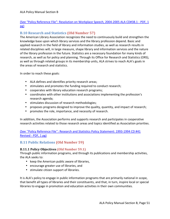# (See "Policy Reference File": Resolution on Workplace Speech, 2004-2005 ALA CD#38.1 - PDF, 1 pg)

# **B.10 Research and Statistics (Old Number 57)**

The American Library Association recognizes the need to continuously build and strengthen the knowledge base upon which library services and the library profession depend. Basic and applied research in the field of library and information studies, as well as research results in related disciplines will, in large measure, shape library and information services and the nature of the library profession in the future. Statistics are a necessary foundation for many kinds of research, as well as for policy and planning. Through its Office for Research and Statistics (ORS), as well as through related groups in its membership units, ALA strives to reach ALA's goals in the areas of research and statistics.

In order to reach these goals:

- ALA defines and identifies priority research areas;
- stimulates and promotes the funding required to conduct research;
- cooperates with library education research programs;
- coordinates with other institutions and associations implementing the profession's research agenda;
- stimulates discussion of research methodologies;
- proposes programs designed to improve the quality, quantity, and impact of research;
- promotes the role, importance, and necessity of research.

In addition, the Association performs and supports research and participates in cooperative research activities related to those research areas and topics identified as Association priorities.

(See ''Policy Reference File'': Research and Statistics Policy Statement: 1993-1994 CD #41 Revised - PDF, 1 pg)

# **B.11 Public Relations (Old Number 59)**

# **B.11.1 Policy Objectives (Old Number 59.1)**

Through public information programs, and through its publications and membership activities, the ALA seeks to:

- keep the American public aware of libraries,
- encourage greater use of libraries, and
- stimulate citizen support of libraries.

It is ALA's policy to engage in public information programs that are primarily national in scope, that benefit all types of libraries and their constituents, and that, in turn, inspire local or special libraries to engage in promotion and education activities in their own communities.